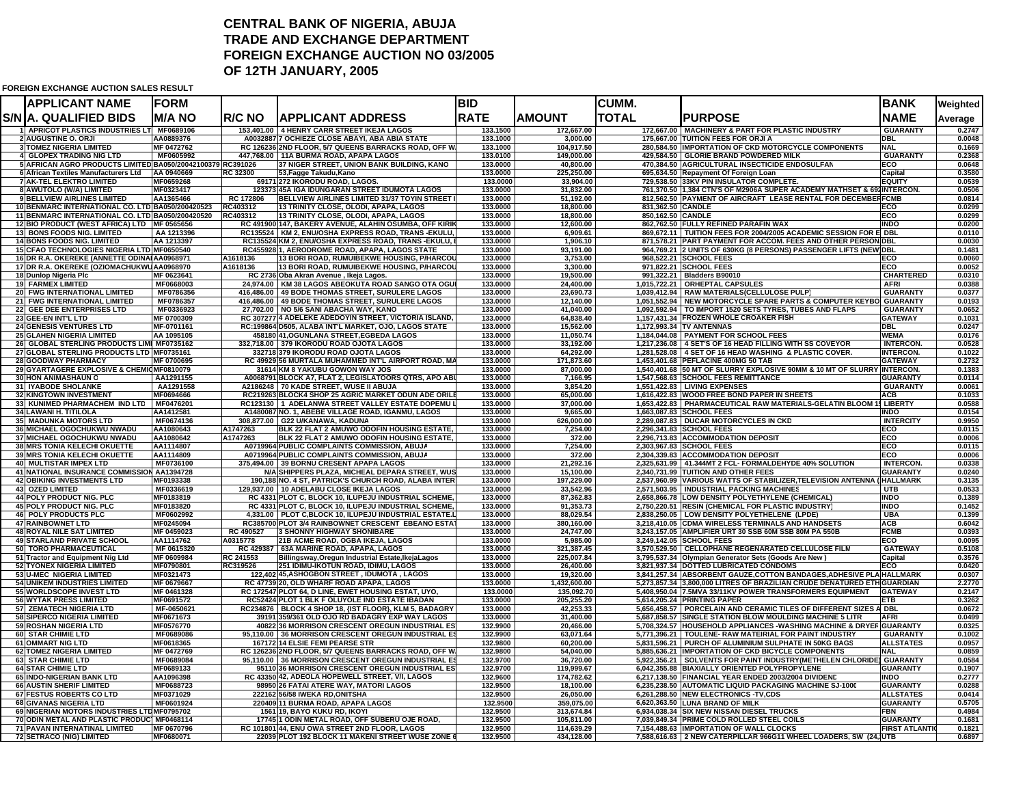## **CENTRAL BANK OF NIGERIA, ABUJA TRADE AND EXCHANGE DEPARTMENTFOREIGN EXCHANGE AUCTION NO 03/2005 OF 12TH JANUARY, 2005**

**FOREIGN EXCHANGE AUCTION SALES RESULT**

| <b>APPLICANT NAME</b>                                                            | <b>FORM</b>              |                 |                                                                                                                 | <b>BID</b>           |                          | <b>CUMM.</b>      |                                                                                                                                     | <b>BANK</b>                              | Weighted         |
|----------------------------------------------------------------------------------|--------------------------|-----------------|-----------------------------------------------------------------------------------------------------------------|----------------------|--------------------------|-------------------|-------------------------------------------------------------------------------------------------------------------------------------|------------------------------------------|------------------|
| S/N A. QUALIFIED BIDS                                                            | <b>IM/A NO</b>           | <b>R/C NO</b>   | <b> APPLICANT ADDRESS</b>                                                                                       | <b>RATE</b>          | <b>AMOUNT</b>            | TOTAL             | <b>PURPOSE</b>                                                                                                                      | <b>NAME</b>                              | Average          |
| 1 APRICOT PLASTICS INDUSTRIES LTI MF0689106                                      |                          |                 | 153.401.00 4 HENRY CARR STREET IKEJA LAGOS                                                                      | 133.1500             | 172,667.00               |                   | 172.667.00 MACHINERY & PART FOR PLASTIC INDUSTRY                                                                                    | <b>GUARANTY</b>                          | 0.2747           |
| <b>2 AUGUSTINE O. ORJI</b>                                                       | AA0889376                |                 | A0032887 7 OCHIEZE CLOSE ABAYI, ABA ABIA STATE                                                                  | 133.1000             | 3,000.00                 |                   | 175.667.00 TUITION FEES FOR ORJI A                                                                                                  | <b>DBL</b>                               | 0.0048           |
| <b>3 TOMEZ NIGERIA LIMITED</b><br><b>4 GLOPEX TRADING NIG LTD</b>                | MF 0472762<br>MF0605992  |                 | RC 126236 2ND FLOOR, 5/7 QUEENS BARRACKS ROAD, OFF W<br>447.768.00 11A BURMA ROAD. APAPA LAGOS                  | 133.1000<br>133.0100 | 104,917.50<br>149,000.00 |                   | 280.584.50 IMPORTATION OF CKD MOTORCYCLE COMPONENTS<br>429.584.50 GLORIE BRAND POWDERED MILK                                        | <b>NAL</b><br><b>GUARANTY</b>            | 0.1669<br>0.2368 |
| 5 AFRICAN AGRO PRODUCTS LIMITED BA050/20042100379 RC391026                       |                          |                 | 37 NIGER STREET, UNION BANK BUILDING, KANO                                                                      | 133.0000             | 40,800.00                |                   | 470,384.50 AGRICULTURAL INSECTICIDE ENDOSULFAN                                                                                      | <b>ECO</b>                               | 0.0648           |
| 6 African Textiles Manufacturers Ltd                                             | AA 0940669               | <b>RC 32300</b> | 53, Fagge Takudu, Kano                                                                                          | 133.0000             | 225,250.00               |                   | 695,634.50 Repayment Of Foreign Loan                                                                                                | Capital                                  | 0.3580           |
| <b>7 AK TEL ELEKTRO LIMITED</b>                                                  | MF0659268                |                 | 69171 272 IKORODU ROAD, LAGOS.                                                                                  | 133.0000             | 33,904.00                |                   | 729,538.50 33KV PIN INSULATOR COMPLETE.                                                                                             | <b>EQUITY</b>                            | 0.0539           |
| 8 AWUTOLO (W/A) LIMITED                                                          | MF0323417                |                 | 123373 45A IGA IDUNGARAN STREET IDUMOTA LAGOS                                                                   | 133.0000             | 31,832.00                |                   | 761,370.50 1,384 CTN'S OF M2906A SUPER ACADEMY MATHSET & 691INTERCON.                                                               |                                          | 0.0506           |
| <b>9 BELLVIEW AIRLINES LIMITED</b>                                               | AA1365466                | RC 172806       | BELLVIEW AIRLINES LIMITED 31/37 TOYIN STREET I                                                                  | 133.0000             | 51,192.00                |                   | 812,562.50 PAYMENT OF AIRCRAFT LEASE RENTAL FOR DECEMBERFCMB                                                                        |                                          | 0.0814           |
| 10 BENMARC INTERNATIONAL CO. LTD BA050/200420523                                 |                          | RC403312        | 13 TRINITY CLOSE, OLODI, APAPA, LAGOS                                                                           | 133.0000             | 18,800.00                | 831,362.50 CANDLE |                                                                                                                                     | ECO                                      | 0.0299           |
| 11 BENMARC INTERNATIONAL CO. LTD BA050/200420520                                 |                          | RC403312        | 13 TRINITY CLOSE, OLODI, APAPA, LAGOS                                                                           | 133.0000             | 18,800.00                | 850,162.50 CANDLE |                                                                                                                                     | ECO                                      | 0.0299           |
| 12 BIO PRODUCT (WEST AFRICA) LTD MF 0565656<br><b>13 BONS FOODS NIG. LIMITED</b> | AA 1213396               |                 | RC 491900 147, BAKERY AVENUE, ALAHIN OSUMBA, OFF KIRIK<br>RC135524   KM 2, ENU/OSHA EXPRESS ROAD, TRANS -EKULU, | 133.0000<br>133.0000 | 12,600.00<br>6,909.61    |                   | 862,762.50 FULLY REFINED PARAFIN WAX<br>869,672.11   TUITION FEES FOR 2004/2005 ACADEMIC SESSION FOR E DBL                          | <b>INDO</b>                              | 0.0200<br>0.0110 |
| <b>14 BONS FOODS NIG. LIMITED</b>                                                | AA 1213397               |                 | RC135524 KM 2, ENU/OSHA EXPRESS ROAD, TRANS EKULU, I                                                            | 133.0000             | 1,906.10                 |                   | 871,578.21 PART PAYMENT FOR ACCOM. FEES AND OTHER PERSON DBL                                                                        |                                          | 0.0030           |
| 15 CFAO TECHNOLOGIES NIGERIA LTD MF0650540                                       |                          |                 | RC455928 1, AERODROME ROAD, APAPA, LAGOS STATE                                                                  | 133.0000             | 93,191.00                |                   | 964,769.21 2 UNITS OF 630KG (8 PERSONS) PASSENGER LIFTS (NEW DBL                                                                    |                                          | 0.1481           |
| 16 DR R.A. OKEREKE (ANNETTE ODINAI AA0968971                                     |                          | A1618136        | 13 BORI ROAD, RUMUIBEKWE HOUSING, P/HARCOU                                                                      | 133.0000             | 3,753.00                 |                   | 968,522.21 SCHOOL FEES                                                                                                              | ECO                                      | 0.0060           |
| 17 DR R.A. OKEREKE (OZIOMACHUKWUAA0968970                                        |                          | A1618136        | 13 BORI ROAD, RUMUIBEKWE HOUSING, P/HARCOU                                                                      | 133.0000             | 3,300.00                 |                   | 971,822.21 SCHOOL FEES                                                                                                              | <b>ECO</b>                               | 0.0052           |
| 18 Dunlop Nigeria Plc                                                            | MF 0623641               |                 | RC 2736 Oba Akran Avenue, Ikeja Lagos.                                                                          | 133.0000             | 19,500.00                |                   | 991,322.21 Bladders B90010                                                                                                          | <b>CHARTERED</b>                         | 0.0310           |
| <b>19 FARMEX LIMITED</b>                                                         | MF0668003                |                 | 24,974.00 KM 38 LAGOS ABEOKUTA ROAD SANGO OTA OGU                                                               | 133.0000             | 24,400.00                |                   | 1,015,722.21   ORHEPTAL CAPSULES                                                                                                    | <b>AFRI</b>                              | 0.0388           |
| 20 FWG INTERNATIONAL LIMITED                                                     | MF0786356<br>MF0786357   |                 | 416,486.00   49 BODE THOMAS STREET, SURULERE LAGOS                                                              | 133.0000<br>133.0000 | 23,690.73<br>12.140.00   |                   | 1,039,412.94 RAW MATERIALS(CELLULOSE PULP)                                                                                          | <b>GUARANTY</b>                          | 0.0377           |
| 21 FWG INTERNATIONAL LIMITED<br>22 GEE DEE ENTERPRISES LTD                       | MF0336923                |                 | 416,486.00 49 BODE THOMAS STREET, SURULERE LAGOS<br>27.702.00 NO 5/6 SANI ABACHA WAY, KANO                      | 133.0000             | 41.040.00                |                   | 1,051,552.94 NEW MOTORCYCLE SPARE PARTS & COMPUTER KEYBO GUARANTY<br>1.092.592.94   TO IMPORT 1520 SETS TYRES. TUBES AND FLAPS      | <b>GUARANTY</b>                          | 0.0193<br>0.0652 |
| 23 GEE-EN INT'L LTD                                                              | MF 0700309               |                 | RC 307277 4 ADELEKE ADEDOYIN STREET, VICTORIA ISLAND,                                                           | 133.0000             | 64.838.40                |                   | 1,157,431.34 FROZEN WHOLE CROAKER FISH                                                                                              | <b>GATEWAY</b>                           | 0.1031           |
| <b>24 GENESIS VENTURES LTD</b>                                                   | MF-0701161               |                 | RC:199864 D505, ALABA INT'L MARKET, OJO, LAGOS STATE                                                            | 133.0000             | 15,562.00                |                   | 1,172,993.34 TV ANTENNAS                                                                                                            | <b>DBL</b>                               | 0.0247           |
| <b>25 GLAHEN NIGERIA LIMITED</b>                                                 | AA 1095105               |                 | 458180 41, OGUNLANA STREET, EGBEDA LAGOS                                                                        | 133,0000             | 11,050.74                |                   | 1,184,044.08 PAYMENT FOR SCHOOL FEES                                                                                                | <b>WEMA</b>                              | 0.0176           |
| 26 GLOBAL STERLING PRODUCTS LIMI MF0735162                                       |                          |                 | 332,718.00 379 IKORODU ROAD OJOTA LAGOS                                                                         | 133.0000             | 33.192.00                |                   | 1,217,236.08 4 SET'S OF 16 HEAD FILLING WITH SS COVEYOR                                                                             | <b>INTERCON.</b>                         | 0.0528           |
| 27 GLOBAL STERLING PRODUCTS LTD MF0735161                                        |                          |                 | 332718 379 IKORODU ROAD OJOTA LAGOS                                                                             | 133.0000             | 64.292.00                |                   | 1.281.528.08 4 SET OF 16 HEAD WASHING & PLASTIC COVER.                                                                              | <b>INTERCON.</b>                         | 0.1022           |
| 28 GOODWAY PHARMACY                                                              | MF 0700695               |                 | RC 49929 56 MURTALA MUHAMMED INT'L AIRPORT ROAD, MA                                                             | 133.0000             | 171,873.60               |                   | 1,453,401.68 PEFLACINE 400MG 50 TAB                                                                                                 | <b>GATEWAY</b>                           | 0.2732           |
| 29 GYARTAGERE EXPLOSIVE & CHEMICMF0810079                                        |                          |                 | 31614 KM 8 YAKUBU GOWON WAY JOS                                                                                 | 133.0000             | 87,000.00                |                   | 1,540,401.68 50 MT OF SLURRY EXPLOSIVE 90MM & 10 MT OF SLURRY INTERCON.                                                             |                                          | 0.1383           |
| 30 HON ANIMASHAUN O<br>31 IYABODE SHOLANKE                                       | AA1291155<br>AA1291558   |                 | A0068791 BLOCK A7, FLAT 2, LEGISLATOORS QTRS, APO ABU<br>A2186248 70 KADE STREET, WUSE II ABUJA                 | 133.0000<br>133.0000 | 7,166.95<br>3,854.20     |                   | 1,547,568.63 SCHOOL FEES REMITTANCE<br>1,551,422.83 LIVING EXPENSES                                                                 | <b>GUARANTY</b><br><b>GUARANTY</b>       | 0.0114<br>0.0061 |
| 32 KINGTOWN INVESTMENT                                                           | MF0694666                |                 | RC219263 BLOCK4 SHOP 25 AGRIC MARKET ODUN ADE ORILE                                                             | 133.0000             | 65,000.00                |                   | 1,616,422.83 WOOD FREE BOND PAPER IN SHEETS                                                                                         | <b>ACB</b>                               | 0.1033           |
| 33 KUNIMED PHARMACHEM IND LTD   MF0476201                                        |                          |                 | RC123130   1 ADELANWA STREET VALLEY ESTATE DOPEMU L                                                             | 133.0000             | 37,000.00                |                   | 1,653,422.83 PHARMACEUTICAL RAW MATERIALS-GELATIN BLOOM 11 LIBERTY                                                                  |                                          | 0.0588           |
| 34 LAWANI H. TITILOLA                                                            | AA1412581                |                 | A1480087 NO. 1, ABEBE VILLAGE ROAD, IGANMU, LAGOS                                                               | 133.0000             | 9,665.00                 |                   | 1,663,087.83 SCHOOL FEES                                                                                                            | <b>INDO</b>                              | 0.0154           |
| <b>35 MADUNKA MOTORS LTD</b>                                                     | MF0674136                |                 | 308.877.00 G22 U/KANAWA, KADUNA                                                                                 | 133.0000             | 626,000.00               |                   | 2,289,087.83 DUCAR MOTORCYCLES IN CKD                                                                                               | <b>INTERCITY</b>                         | 0.9950           |
| 36 MICHAEL OGOCHUKWU NWADU                                                       | AA1080643                | A1747263        | BLK 22 FLAT 2 AMUWO ODOFIN HOUSING ESTATE                                                                       | 133.0000             | 7,254.00                 |                   | 2,296,341.83 SCHOOL FEES                                                                                                            | ECO                                      | 0.0115           |
| 37 MICHAEL OGOCHUKWU NWADU                                                       | AA1080642                | A1747263        | BLK 22 FLAT 2 AMUWO ODOFIN HOUSING ESTATE,                                                                      | 133.0000             | 372.00                   |                   | 2,296,713.83 ACCOMMODATION DEPOSIT                                                                                                  | <b>ECO</b><br>ECO                        | 0.0006           |
| 38 MRS TONIA KELECHI OKUETTE<br>39 MRS TONIA KELECHI OKUETTE                     | AA1114807<br>AA1114809   |                 | A0719964 PUBLIC COMPLAINTS COMMISSION, ABUJA<br>A0719964 PUBLIC COMPLAINTS COMMISSION, ABUJA                    | 133.0000<br>133.0000 | 7,254.00<br>372.00       |                   | 2,303,967.83 SCHOOL FEES<br>2,304,339.83 ACCOMMODATION DEPOSIT                                                                      | ECO                                      | 0.0115<br>0.0006 |
| 40 MULTISTAR IMPEX LTD                                                           | MF0736100                |                 | 375,494.00 39 BORNU CRESENT APAPA LAGOS                                                                         | 133.0000             | 21,292.16                |                   | 2,325,631.99 41.344MT 2 FCL- FORMALDEHYDE 40% SOLUTION                                                                              | <b>INTERCON.</b>                         | 0.0338           |
| 41 NATIONAL INSURANCE COMMISSION AA1394728                                       |                          |                 | N/A SHIPPERS PLAZA, MICHEAL DEPARA STREET, WUS                                                                  | 133.0000             | 15,100.00                |                   | 2,340,731.99 TUITION AND OTHER FEES                                                                                                 | <b>GUARANTY</b>                          | 0.0240           |
| <b>42 OBIKING INVESTMENTS LTD</b>                                                | MF0193338                |                 | 190,188 NO. 4 ST, PATRICK'S CHURCH ROAD, ALABA INTER                                                            | 133.0000             | 197,229.00               |                   | 2,537,960.99 VARIOUS WATTS OF STABILIZER, TELEVISION ANTENNA (HALLMARK                                                              |                                          | 0.3135           |
| 43 OZED LIMITED                                                                  | MF0336619                |                 | 129,937.00   10 ADELABU CLOSE IKEJA LAGOS                                                                       | 133.0000             | 33,542.96                |                   | 2,571,503.95 INDUSTRIAL PACKING MACHINES                                                                                            | <b>UTB</b>                               | 0.0533           |
| 44 POLY PRODUCT NIG. PLC                                                         | MF0183819                |                 | RC 4331 PLOT C, BLOCK 10, ILUPEJU INDUSTRIAL SCHEME                                                             | 133,0000             | 87,362.83                |                   | 2,658,866.78 LOW DENSITY POLYETHYLENE (CHEMICAL)                                                                                    | <b>INDO</b>                              | 0.1389           |
| 45 POLY PRODUCT NIG. PLC                                                         | MF0183820                |                 | RC 4331 PLOT C, BLOCK 10, ILUPEJU INDUSTRIAL SCHEME                                                             | 133.0000             | 91,353.73                |                   | 2,750,220.51 RESIN (CHEMICAL FOR PLASTIC INDUSTRY)                                                                                  | <b>INDO</b>                              | 0.1452           |
| 46 POLY PRODUCTS PLC<br>47 RAINBOWNET LTD                                        | MF0602992<br>MF0245094   |                 | 4,331.00 PLOT C,BLOCK 10, ILUPEJU INDUSTRIAL ESTATE.L<br>RC385700 PLOT 3/4 RAINBOWNET CRESCENT EBEANO ESTAT     | 133.0000<br>133.0000 | 88,029.54<br>380,160.00  |                   | 2,838,250.05   LOW DENSITY POLYETHELENE (LPDE)<br>3,218,410.05 CDMA WIRELESS TERMINALS AND HANDSETS                                 | <b>UBA</b><br><b>ACB</b>                 | 0.1399<br>0.6042 |
| <b>48 ROYAL NILE SAT LIMITED</b>                                                 | MF 0459023               | RC 490527       | <b>3 SHONNY HIGHWAY SHONIBARE</b>                                                                               | 133.0000             | 24,747.00                |                   | 3,243,157.05 AMPLIFIER URT 30 SSB 60M SSB 80M PA 550B                                                                               | <b>FCMB</b>                              | 0.0393           |
| <b>49 STARLAND PRIVATE SCHOOL</b>                                                | AA1114762                | A0315778        | 21B ACME ROAD, OGBA IKEJA, LAGOS                                                                                | 133.0000             | 5,985.00                 |                   | 3.249.142.05 SCHOOL FEES                                                                                                            | <b>ECO</b>                               | 0.0095           |
| 50 TORO PHARMACEUTICAL                                                           | MF 0615320               |                 | RC 429387 63A MARINE ROAD, APAPA, LAGOS                                                                         | 133.0000             | 321,387.45               |                   | 3,570,529.50 CELLOPHANE REGENARATED CELLULOSE FILM                                                                                  | <b>GATEWAY</b>                           | 0.5108           |
| 51 Tractor and Equipment Nig Ltd                                                 | MF 0609984               | RC 241553       | Billingsway, Oregun Industrial Estate, IkejaLagos                                                               | 133.0000             | 225,007.84               |                   | 3,795,537.34 Olympian Generator Sets (Goods Are New)                                                                                | Capital                                  | 0.3576           |
| 52 TYONEX NIGERIA LIMITED                                                        | MF0790801                | RC319526        | 251 IDIMU-IKOTUN ROAD, IDIMU, LAGOS                                                                             | 133.0000             | 26,400.00                |                   | 3,821,937.34 DOTTED LUBRICATED CONDOMS                                                                                              | ECO                                      | 0.0420           |
| 53 U-MEC NIGERIA LIMITED                                                         | MF0321473                |                 | 122,402 45,ASHOGBON STREET, IDUMOTA, LAGOS                                                                      | 133.0000             | 19,320.00                |                   | 3,841,257.34   ABSORBENT GAUZE, COTTON BANDAGES, ADHESIVE PLA HALLMARK                                                              |                                          | 0.0307           |
| 54 UNIKEM INDUSTRIES LIMITED<br>55 WORLDSCOPE INVEST LTD                         | MF 0679667<br>MF 0461328 |                 | RC 47739 20, OLD WHARF ROAD APAPA, LAGOS<br>RC 172547 PLOT 64. D LINE. EWET HOUSING ESTAT. UYO                  | 133.0000<br>133.0000 | 1,432,600.00             |                   | 5,273,857.34 3,800,000 LITRES OF BRAZILIAN CRUDE DENATURED ETH GUARDIAN<br>5,408,950.04 7.5MVA 33/11KV POWER TRANSFORMERS EQUIPMENT | <b>GATEWAY</b>                           | 2.2770<br>0.2147 |
| <b>56 WYTAK PRESS LIMITED</b>                                                    | MF0691572                |                 | RC52424 PLOT 1 BLK F OLUYOLE IND ESTATE IBADAN                                                                  | 133.0000             | 135,092.70<br>205,255.20 |                   | 5,614,205.24 PRINTING PAPER                                                                                                         | <b>ETB</b>                               | 0.3262           |
| 57 ZEMATECH NIGERIA LTD                                                          | MF-0650621               |                 | RC234876   BLOCK 4 SHOP 18, {IST FLOOR}, KLM 5, BADAGRY                                                         | 133.0000             | 42,253.33                |                   | 5,656,458.57 PORCELAIN AND CERAMIC TILES OF DIFFERENT SIZES A DBL                                                                   |                                          | 0.0672           |
| <b>58 SIPERCO NIGERIA LIMITED</b>                                                | MF0671673                |                 | 39191 359/361 OLD OJO RD BADAGRY EXP WAY LAGOS                                                                  | 133.0000             | 31,400.00                |                   | 5,687,858.57 SINGLE STATION BLOW MOULDING MACHINE 5 LITR                                                                            | <b>AFRI</b>                              | 0.0499           |
| 59 ROSHAN NIGERIA LTD                                                            | MF0576770                |                 | 40822 36 MORRISON CRESCENT OREGUN INDUSTRIAL ES                                                                 | 132.9900             | 20,466.00                |                   | 5,708,324.57 HOUSEHOLD APPLIANCES - WASHING MACHINE & DRYEF GUARANTY                                                                |                                          | 0.0325           |
| 60 STAR CHIMIE LTD                                                               | <b>MF0689086</b>         |                 | 95,110.00 36 MORRISON CRESCENT OREGUN INDUSTRIAL ES                                                             | 132.9900             | 63,071.64                |                   | 5,771,396.21   TOULENE- RAW MATEIRIAL FOR PAINT INDUSTRY                                                                            | <b>GUARANTY</b>                          | 0.1002           |
| 61 OMMART NIG LTD                                                                | MF0618365                |                 | 167172 14 ELSIE FEMI PEARSE STR                                                                                 | 132.9800             | 60,200.00                |                   | 5,831,596.21 PURCH OF ALUMINIUM SULPHATE IN 50KG BAGS                                                                               | <b>ALLSTATES</b>                         | 0.0957           |
| 62 TOMEZ NIGERIA LIMITED<br><b>63 STAR CHIMIE LTD</b>                            | MF 0472769<br>MF0689084  |                 | RC 126236 2ND FLOOR, 5/7 QUEENS BARRACKS ROAD, OFF W<br>95,110.00 36 MORRISON CRESCENT OREGUN INDUSTRIAL ES     | 132.9800<br>132.9700 | 54,040.00<br>36,720.00   |                   | 5,885,636.21 IMPORTATION OF CKD BICYCLE COMPONENTS<br>5,922,356.21 SOLVENTS FOR PAINT INDUSTRY(METHELEN CHLORIDE) GUARANTY          | <b>NAL</b>                               | 0.0859<br>0.0584 |
| <b>64 STAR CHIMIE LTD</b>                                                        | MF0689133                |                 | 95110 36 MORRISON CRESCENT OREGUN INDUSTRIAL ES                                                                 | 132.9700             | 119,999.67               |                   | 6,042,355.88 BIAXIALLY ORIENTED POLYPROPYLENE                                                                                       | <b>GUARANTY</b>                          | 0.1907           |
| 65 INDO-NIGERIAN BANK LTD                                                        | AA1096398                |                 | RC 43350 42, ADEOLA HOPEWELL STREET, V/I, LAGOS                                                                 | 132.9600             | 174,782.62               |                   | 6,217,138.50 FINANCIAL YEAR ENDED 2003/2004 DIVIDEND                                                                                | <b>INDO</b>                              | 0.2777           |
| 66 AUSTIN SHERIF LIMITED                                                         | MF0688723                |                 | 98950 26 FATAI ATERE WAY, MATORI LAGOS                                                                          | 132.9500             | 18,100.00                |                   | 6,235,238.50 AUTOMATIC LIQUID PACKAGING MACHINE SJ-1000                                                                             | <b>GUARANTY</b>                          | 0.0288           |
| 67 FESTUS ROBERTS CO LTD                                                         | MF0371029                |                 | 222162 56/58 IWEKA RD, ONITSHA                                                                                  | 132.9500             | 26,050.00                |                   | 6,261,288.50 NEW ELECTRONICS -TV,CDS                                                                                                | <b>ALLSTATES</b>                         | 0.0414           |
| 68 GIVANAS NIGERIA LTD                                                           | MF0601924                |                 | 220409 11 BURMA ROAD, APAPA LAGOS                                                                               | 132.9500             | 359,075.00               |                   | 6,620,363.50 LUNA BRAND OF MILK                                                                                                     | <b>GUARANTY</b>                          | 0.5705           |
| 69 NIGERIAN MOTORS INDUSTRIES LTDMF0795702                                       |                          |                 | 1561 19, BAYO KUKU RD, IKOYI                                                                                    | 132.9500             | 313,674.84               |                   | 6,934,038.34 SIX NEW NISSAN DIESEL TRUCKS                                                                                           | <b>FBN</b>                               | 0.4984           |
| 70 ODIN METAL AND PLASTIC PRODUC MF0468114<br>71 PAVAN INTERNATINAL LIMITED      | MF 0670796               |                 | 17745 1 ODIN METAL ROAD, OFF SUBERU OJE ROAD,<br>RC 101801 44. ENU OWA STREET 2ND FLOOR. LAGOS                  | 132.9500<br>132.9500 | 105,811.00<br>114.639.29 |                   | 7,039,849.34 PRIME COLD ROLLED STEEL COILS<br>7,154,488.63 IMPORTATION OF WALL CLOCKS                                               | <b>GUARANTY</b><br><b>FIRST ATLANTIC</b> | 0.1681<br>0.1821 |
| 72 SETRACO (NIG) LIMITED                                                         | MF0680071                |                 | 22039 PLOT 192 BLOCK 11 MAKENI STREET WUSE ZONE 6                                                               | 132.9500             | 434.128.00               |                   | 7,588,616.63 2 NEW CATERPILLAR 966G11 WHEEL LOADERS, SW (24, UTB                                                                    |                                          | 0.6897           |
|                                                                                  |                          |                 |                                                                                                                 |                      |                          |                   |                                                                                                                                     |                                          |                  |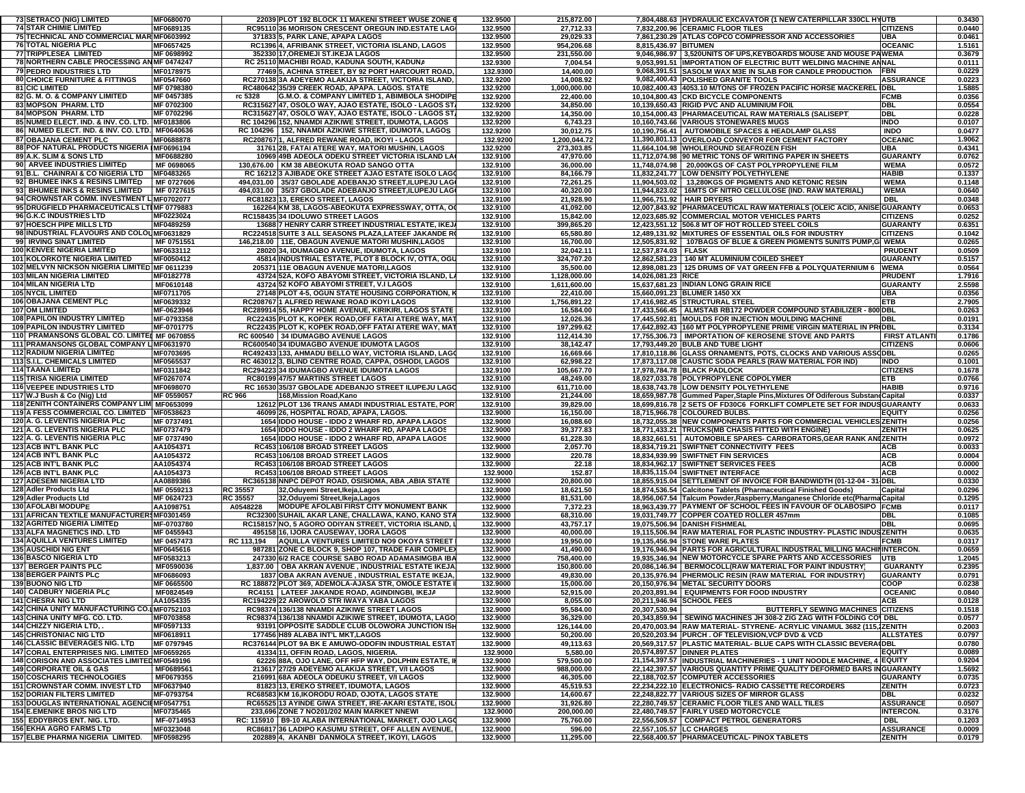| <b>73 SETRACO (NIG) LIMITED</b>                                              | MF0680070              |                 | 22039 PLOT 192 BLOCK 11 MAKENI STREET WUSE ZONE                                                     | 132.9500             | 215,872.00             |                          | 7,804,488.63 HYDRAULIC EXCAVATOR (1 NEW CATERPILLAR 330CL HYUTB                                                  |                                   | 0.3430           |
|------------------------------------------------------------------------------|------------------------|-----------------|-----------------------------------------------------------------------------------------------------|----------------------|------------------------|--------------------------|------------------------------------------------------------------------------------------------------------------|-----------------------------------|------------------|
| <b>74 STAR CHIMIE LIMITED</b>                                                | MF0689135              |                 | RC95110 36 MORISON CRESCENT OREGUN IND ESTATE LAG                                                   | 132.9500             | 27,712.33              |                          | 7,832,200.96 CERAMIC FLOOR TILES                                                                                 | <b>CITIZENS</b>                   | 0.0440           |
|                                                                              |                        |                 |                                                                                                     |                      |                        |                          |                                                                                                                  |                                   |                  |
| 75 TECHNICAL AND COMMERCIAL MAR MF0603992                                    |                        |                 | 371833 5, PARK LANE, APAPA LAGOS                                                                    | 132.9500             | 29,029.33              |                          | 7.861.230.29 ATLAS COPCO COMPRESSOR AND ACCESSORIES                                                              | <b>UBA</b>                        | 0.0461           |
| <b>76 TOTAL NIGERIA PLC</b>                                                  | MF0657425              |                 | RC1396 4, AFRIBANK STREET, VICTORIA ISLAND, LAGOS                                                   | 132.9500             | 954,206.68             | 8.815.436.97 BITUMEN     |                                                                                                                  | <b>OCEANIC</b>                    | 1.5161           |
| 77 TRIPPLESEA LIMITED                                                        | MF 0698992             |                 | 352330 17, OREMEJI ST.IKEJA LAGOS                                                                   | 132.9500             | 231,550.00             |                          | 9,046,986.97 3,520UNITS OF UPS, KEYBOARDS MOUSE AND MOUSE PAWEMA                                                 |                                   | 0.3679           |
| 78 NORTHERN CABLE PROCESSING AN MF 0474247                                   |                        |                 | RC 25110 MACHIBI ROAD, KADUNA SOUTH, KADUNA                                                         | 132.9300             | 7,004.54               |                          | 9,053,991.51 IMPORTATION OF ELECTRIC BUTT WELDING MACHINE ANNAL                                                  |                                   | 0.0111           |
| <b>79 PEDRO INDUSTRIES LTD</b>                                               | MF0178975              |                 | 77469 5, ACHINA STREET, BY 92 PORT HARCOURT ROAD                                                    | 132.9300             | 14,400.00              |                          | 9,068,391.51 SASOLM WAX M3E IN SLAB FOR CANDLE PRODUCTION                                                        | <b>FBN</b>                        | 0.0229           |
| <b>80 CHOICE FURNITURE &amp; FITTINGS</b>                                    | MF0547660              |                 | RC270138 3A ADEYEMO ALAKIJA STREET, VICTORIA ISLAND,                                                | 132.9200             | 14,008.92              |                          | 9,082,400.43 POLISHED GRANITE TOOLS                                                                              | <b>ASSURANCE</b>                  | 0.0223           |
| <b>81 CIC LIMITED</b>                                                        | MF 0798380             |                 | RC480642 35/39 CREEK ROAD, APAPA. LAGOS. STATE                                                      | 132.9200             | 1,000,000.00           |                          | 10,082,400.43 4053.10 M/TONS OF FROZEN PACIFIC HORSE MACKEREL IDBL                                               |                                   | 1.5885           |
|                                                                              |                        |                 | G.M.O. & COMPANY LIMITED 1, ABIMBOLA SHODIPE                                                        |                      |                        |                          |                                                                                                                  | <b>FCMB</b>                       |                  |
| 82 G. M. O. & COMPANY LIMITED                                                | MF 0457385             | rc 5328         |                                                                                                     | 132.9200             | 22,400.00              |                          | 10,104,800.43 CKD BICYCLE COMPONENTS                                                                             |                                   | 0.0356           |
| 83 MOPSON PHARM. LTD                                                         | MF 0702300             |                 | RC315627 47, OSOLO WAY, AJAO ESTATE, ISOLO - LAGOS ST                                               | 132.9200             | 34,850.00              |                          | 10,139,650.43 RIGID PVC AND ALUMINIUM FOIL                                                                       | <b>DBL</b>                        | 0.0554           |
| <b>84 MOPSON PHARM. LTD</b>                                                  | MF 0702296             |                 | RC315627 47, OSOLO WAY, AJAO ESTATE, ISOLO - LAGOS ST                                               | 132.9200             | 14,350.00              |                          | 10,154,000.43 PHARMACEUTICAL RAW MATERIALS (SALISEPT                                                             | <b>DBL</b>                        | 0.0228           |
| 85 NUMED ELECT. IND. & INV. CO. LTD. MF0183806                               |                        |                 | RC 104296 152, NNAMDI AZIKIWE STREET, IDUMOTA, LAGOS                                                | 132.9200             | 6,743.23               |                          | 10,160,743.66 VARIOUS STONEWARES MUGS                                                                            | <b>INDO</b>                       | 0.0107           |
| 86 NUMED ELECT. IND. & INV. CO. LTD. MF0640636                               |                        |                 | RC 104296   152, NNAMDI AZIKIWE STREET, IDUMOTA, LAGOS                                              | 132.9200             | 30,012.75              |                          | 10,190,756.41   AUTOMOBILE SPACES & HEADLAMP GLASS                                                               | <b>INDO</b>                       | 0.0477           |
| <b>87 OBAJANA CEMENT PLC</b>                                                 | MF0688878              |                 | RC208767 1, ALFRED REWANE ROAD, IKOYI - LAGOS                                                       | 132.9200             | 1,200,044.72           |                          | 11,390,801.13 OVERLOAD CONVEYOR FOR CEMENT FACTORY                                                               | <b>OCEANIC</b>                    | 1.9062           |
| 88 POF NATURAL PRODUCTS NIGERIA IMF0696194                                   |                        |                 | 31761 28, FATAI ATERE WAY, MATORI MUSHIN, LAGOS                                                     | 132.9200             | 273,303.85             |                          | 11.664.104.98 WHOLEROUND SEAFROZEN FISH                                                                          | <b>UBA</b>                        | 0.4341           |
| 89 A.K. SLIM & SONS LTD                                                      | MF0688280              |                 | 10969 49B ADEOLA ODEKU STREET VICTORIA ISLAND LA                                                    | 132.9100             | 47,970.00              |                          | 11,712,074.98 90 METRIC TONS OF WRITING PAPER IN SHEETS                                                          | <b>GUARANTY</b>                   | 0.0762           |
| 90 ARVEE INDUSTRIES LIMITED                                                  | MF 0698065             |                 | 130,676.00   KM 38 ABEOKUTA ROAD SANGO OTTA                                                         | 132.9100             | 36,000.00              |                          | 11,748,074.98 20,000KGS OF CAST POLYPROPYLENE FILM                                                               | <b>WEMA</b>                       | 0.0572           |
|                                                                              |                        |                 |                                                                                                     |                      |                        |                          |                                                                                                                  |                                   |                  |
| 91 B.L. CHAINRAI & CO NIGERIA LTD                                            | MF0483265              |                 | RC 16212 3 AJIBADE OKE STREET AJAO ESTATE ISOLO LAGO                                                | 132.9100             | 84,166.79              |                          | 11,832,241.77 LOW DENSITY POLYETHYLENE                                                                           | <b>HABIB</b>                      | 0.1337           |
| 92 BHUMEE INKS & RESINS LIMITED                                              | MF 0727606             |                 | 494,031.00 35/37 GBOLADE ADEBANJO STREET, ILUPEJU LAG                                               | 132.9100             | 72,261.25              |                          | 11,904,503.02 13,280KGS OF PIGMENTS AND KETONIC RESIN                                                            | <b>WEMA</b>                       | 0.1148           |
| 93 BHUMEE INKS & RESINS LIMITED                                              | MF 0727615             |                 | 494,031.00 35/37 GBOLADE ADEBANJO STREET, ILUPEJU LAG                                               | 132.9100             | 40,320.00              |                          | 11.944.823.02 16MTS OF NITRO CELLULOSE (IND. RAW MATERIAL)                                                       | <b>WEMA</b>                       | 0.0640           |
| 94 CROWNSTAR COMM. INVESTMENT L MF0702077                                    |                        |                 | RC81823 13, EREKO STREET, LAGOS                                                                     | 132.9100             | 21,928.90              |                          | 11,966,751.92   HAIR DRYERS                                                                                      | <b>DBL</b>                        | 0.0348           |
| 95 DRUGFIELD PHARMACEUTICALS LTIMF 0779883                                   |                        |                 | 162264 KM 38, LAGOS-ABEOKUTA EXPRESSWAY, OTTA, O                                                    | 132.9100             | 41,092.00              |                          | 12,007,843.92 PHARMACEUTICAL RAW MATERIALS (OLEIC ACID, ANISE GUARANTY                                           |                                   | 0.0653           |
| 96 G.K.C INDUSTRIES LTD                                                      | MF0223024              |                 | RC158435 34 IDOLUWO STREET LAGOS                                                                    | 132.9100             | 15,842.00              |                          | 12,023,685.92 COMMERCIAL MOTOR VEHICLES PARTS                                                                    | <b>CITIZENS</b>                   | 0.0252           |
| 97 HOESCH PIPE MILLS LTD                                                     | MF0489259              |                 | 13688 7 HENRY CARR STREET INDUSTRIAL ESTATE, IKEJ                                                   | 132.9100             | 399,865.20             |                          | 12,423,551.12 506.8 MT OF HOT ROLLED STEEL COILS                                                                 | <b>GUARANTY</b>                   | 0.6351           |
| 98 INDUSTRIAL FLAVOURS AND COLOUMF0631829                                    |                        |                 | RC224518 SUITE 3 ALL SEASONS PLAZA, LATEEF JAKANDE R                                                | 132.9100             | 65,580.80              |                          | 12,489,131.92 MIXTURES OF ESSENTIAL OILS FOR INDUSTRY                                                            | <b>CITIZENS</b>                   | 0.1042           |
| 99 IRVING SINAT LIMITED                                                      | MF 0751551             |                 | 146,218.00   11E, OBAGUN AVENUE MATORI MUSHIN,LAGOS                                                 | 132.9100             | 16,700.00              |                          | 12,505,831.92   107BAGS OF BLUE & GREEN PIGMENTS 5UNITS PUMP,G WEMA                                              |                                   | 0.0265           |
|                                                                              |                        |                 |                                                                                                     |                      |                        |                          |                                                                                                                  |                                   |                  |
| <b>100 KENVEE NIGERIA LIMITED</b>                                            | MF0633112              |                 | 28020 34, IDUMAGBO AVENUE, IDUMOTA, LAGOS                                                           | 132.9100             | 32,042.11              | 12,537,874.03 FLASK      |                                                                                                                  | <b>PRUDENT</b>                    | 0.0509           |
| 101 KOLORKOTE NIGERIA LIMITED                                                | MF0050412              |                 | 45814 INDUSTRIAL ESTATE, PLOT 8 BLOCK IV, OTTA, OGL                                                 | 132.9100             | 324,707.20             |                          | 12,862,581.23   140 MT ALUMINIUM COILED SHEET                                                                    | <b>GUARANTY</b>                   | 0.5157           |
| 102 MELVYN NICKSON NIGERIA LIMITED MF 0611239                                |                        |                 | 205371 11E OBAGUN AVENUE MATORI, LAGOS                                                              | 132.9100             | 35,500.00              |                          | 12,898,081.23   125 DRUMS OF VAT GREEN FFB & POLYQUATERNIUM 6   WEMA                                             |                                   | 0.0564           |
| 103 MILAN NIGERIA LIMITED                                                    | MF0182778              |                 | 43724 52A, KOFO ABAYOMI STREET, VICTORIA ISLAND, L.                                                 | 132.9100             | 1,128,000.00           | 14,026,081.23 RICE       |                                                                                                                  | <b>PRUDENT</b>                    | 1.7916           |
| 104 MILAN NIGERIA LTD                                                        | MF0610148              |                 | 43724 52 KOFO ABAYOMI STREET, V.I LAGOS                                                             | 132.9100             | 1,611,600.00           |                          | 15,637,681.23 INDIAN LONG GRAIN RICE                                                                             | <b>GUARANTY</b>                   | 2.5598           |
| <b>105 NYCIL LIMITED</b>                                                     | MF0711705              |                 | 27148 PLOT 4-5, OGUN STATE HOUSING CORPORATION, I                                                   | 132.9100             | 22,410.00              |                          | 15,660,091.23 BLUMER 1450 XX                                                                                     | <b>UBA</b>                        | 0.0356           |
| <b>106 OBAJANA CEMENT PLC</b>                                                | MF0639332              |                 | RC208767 1 ALFRED REWANE ROAD IKOYI LAGOS                                                           | 132.9100             | 1,756,891.22           |                          | 17.416.982.45 STRUCTURAL STEEL                                                                                   | <b>ETB</b>                        | 2.7905           |
|                                                                              |                        |                 |                                                                                                     |                      |                        |                          | 17,433,566.45   ALMSTAB RB172 POWDER COMPOUND STABILIZER - 800 DBL                                               |                                   |                  |
| <b>107 OM LIMITED</b>                                                        | MF-0623946             |                 | RC289914 55, HAPPY HOME AVENUE, KIRIKIRI, LAGOS STATE                                               | 132.9100             | 16,584.00              |                          |                                                                                                                  |                                   | 0.0263           |
| <b>108 PAPILON INDUSTRY LIMITED</b>                                          | MF-0793358             |                 | RC22435 PLOT K. KOPEK ROAD OFF FATAI ATERE WAY. MA                                                  | 132.9100             | 12,026.36              |                          | 17.445.592.81 MOULDS FOR INJECTION MOULDING MACHINE                                                              | DBL                               | 0.0191           |
| <b>109 PAPILON INDUSTRY LIMITED</b>                                          | MF-0701775             |                 | RC22435 PLOT K, KOPEK ROAD, OFF FATAI ATERE WAY, MAT                                                | 132.9100             | 197,299.62             |                          | 17,642,892.43 160 MT POLYPROPYLENE PRIME VIRGIN MATERIAL IN PRIDBL                                               |                                   | 0.3134           |
| 110 PRAMANSONS GLOBAL CO. LIMITEL MF 0670855                                 |                        |                 | RC 600540 34 IDUMAGBO AVENUE LAGOS                                                                  | 132.9100             | 112,414.30             |                          | 17,755,306.73   IMPORTATION OF KEROSENE STOVE AND PARTS                                                          | <b>FIRST ATLANT</b>               | 0.1786           |
| 111 PRAMANSONS GLOBAL COMPANY L MF0631970                                    |                        |                 | RC600540 34 IDUMAGBO AVENUE IDUMOTA LAGOS                                                           | 132.9100             | 38,142.47              |                          | 17,793,449.20 BULB AND TUBE LIGHT                                                                                | <b>CITIZENS</b>                   | 0.0606           |
| 112 RADIUM NIGERIA LIMITED                                                   | MF0703695              |                 | RC492433 133, AHMADU BELLO WAY, VICTORIA ISLAND, LAGO                                               | 132.9100             | 16,669.66              |                          | 17,810,118.86 GLASS ORNAMENTS, POTS, CLOCKS AND VARIOUS ASSODBL                                                  |                                   | 0.0265           |
| <b>113 S.I.L. CHEMICALS LIMITED</b>                                          | MF0565537              |                 | RC 463012 3, BLIND CENTRE ROAD, CAPPA, OSHODI, LAGOS                                                | 132.9100             | 62,998.22              |                          | 17,873,117.08 CAUSTIC SODA PEARLS (RAW MATERIAL FOR IND)                                                         | <b>INDO</b>                       | 0.1001           |
| <b>114 TAANA LIMITED</b>                                                     | MF0311842              |                 | RC294223 34 IDUMAGBO AVENUE IDUMOTA LAGOS                                                           | 132.9100             | 105,667.70             |                          | 17.978.784.78 BLACK PADLOCK                                                                                      | <b>CITIZENS</b>                   | 0.1678           |
|                                                                              |                        |                 |                                                                                                     |                      |                        |                          |                                                                                                                  |                                   |                  |
|                                                                              |                        |                 |                                                                                                     |                      |                        |                          |                                                                                                                  |                                   |                  |
| 115 TRISA NIGERIA LIMITED                                                    | MF0267074              |                 | RC80199 47/57 MARTINS STREET LAGOS                                                                  | 132.9100             | 48,249.00              |                          | 18,027,033.78 POLYPROPYLENE COPOLYMER                                                                            | <b>ETB</b>                        | 0.0766           |
| <b>116 VEEPEE INDUSTRIES LTD</b>                                             | MF0698070              |                 | RC 16530 35/37 GBOLADE ADEBANJO STREET ILUPEJU LAGO                                                 | 132.9100             | 611,710.00             |                          | 18,638,743.78 LOW DENSITY POLYETHYLENE                                                                           | <b>HABIB</b>                      | 0.9716           |
| 117   W.J Bush & Co (Nig) Ltd                                                | MF 0559057             | <b>RC 966</b>   | 168,Mission Road,Kano                                                                               | 132.9100             | 21,244.00              |                          | 18,659,987.78 Gummed Paper, Staple Pins, Mixtures Of Odiferous Substand Capital                                  |                                   | 0.0337           |
| 118 ZENITH CONTAINERS COMPANY LIMI MF0653099                                 |                        |                 | 12612 PLOT 136 TRANS AMADI INDUSTRIAL ESTATE, POR                                                   | 132.9100             | 39,829.00              |                          | 18,699,816.78 2 SETS OF FD30C6 FORKLIFT COMPLETE SET FOR INDUSGUARANTY                                           |                                   | 0.0633           |
| 119 A FESS COMMERCIAL CO. LIMITED MF0538623                                  |                        |                 | 46099 26, HOSPITAL ROAD, APAPA, LAGOS.                                                              | 132.9000             | 16,150.00              |                          | 18,715,966.78 COLOURED BULBS.                                                                                    | <b>EQUITY</b>                     | 0.0256           |
| 120 A. G. LEVENTIS NIGERIA PLC                                               | MF 0737491             |                 | 1654 IDDO HOUSE - IDDO 2 WHARF RD, APAPA LAGOS                                                      | 132.9000             | 16,088.60              |                          | 18,732,055.38 NEW COMPONENTS PARTS FOR COMMERCIAL VEHICLES ZENITH                                                |                                   | 0.0256           |
| 121 A. G. LEVENTIS NIGERIA PLC                                               | MF0737479              |                 | 1654 IDDO HOUSE - IDDO 2 WHARF RD, APAPA LAGOS                                                      | 132.9000             | 39,377.83              |                          | 18,771,433.21 TRUCKS(MB CHASIS FITTED WITH ENGINE)                                                               | <b>ZENITH</b>                     | 0.0625           |
|                                                                              | MF 0737490             |                 |                                                                                                     |                      |                        |                          |                                                                                                                  |                                   |                  |
| 122 A. G. LEVENTIS NIGERIA PLC                                               |                        |                 | 1654 IDDO HOUSE - IDDO 2 WHARF RD, APAPA LAGOS                                                      | 132.9000             | 61,228.30              |                          | 18,832,661.51   AUTOMOBILE SPARES- CARBORATORS, GEAR RANK ANI ZENITH                                             |                                   | 0.0972           |
| <b>123 ACB INT'L BANK PLC</b>                                                | AA1054371              |                 | RC453 106/108 BROAD STREET LAGOS                                                                    | 132.9000             | 2,057.70               |                          | 18,834,719.21 SWIFTNET CONNECTIVITY FEES                                                                         | <b>ACB</b>                        | 0.0033           |
| <b>124 ACB INT'L BANK PLC</b>                                                | AA1054372              |                 | RC453 106/108 BROAD STREET LAGOS                                                                    | 132.9000             | 220.78                 |                          | 18,834,939.99 SWIFTNET FIN SERVICES                                                                              | ACB                               | 0.0004           |
| <b>125 ACB INT'L BANK PLC</b>                                                | AA1054374              |                 | RC453 106/108 BROAD STREET LAGOS                                                                    | 132.9000             | 22.18                  |                          | 18,834,962.17 SWIFTNET SERVICES FEES                                                                             | <b>ACB</b>                        | 0.0000           |
| <b>126 ACB INT'L BANK PLC</b>                                                | AA1054373              |                 | RC453 106/108 BROAD STREET LAGOS                                                                    | 132.9000             | 152.87                 |                          | 18,835,115.04 SWIFTNET INTERFACE                                                                                 | <b>ACB</b>                        | 0.0002           |
| 127 ADESEMI NIGERIA LTD                                                      | AA0889386              |                 | RC365138 NNPC DEPOT ROAD, OSISIOMA, ABA , ABIA STATE                                                | 132.9000             | 20,800.00              |                          | 18,855,915.04 SETTLEMENT OF INVOICE FOR BANDWIDTH (01-12-04 - 31 DBL                                             |                                   | 0.0330           |
| 128 Adler Products Ltd                                                       | MF 0559213             | RC 35557        | 32, Oduyemi Street, Ikeja, Lagos                                                                    | 132.9000             | 18,621.50              |                          | 18,874,536.54 Calcitone Tablets (Pharmaceutical Finished Goods)                                                  | Capital                           | 0.0296           |
| 129 Adler Products Ltd                                                       | MF 0624723             | <b>RC 35557</b> | 32, Oduyemi Street, Ikeja, Lagos                                                                    | 132.9000             | 81,531.00              |                          | 18,956,067.54 Talcum Powder, Raspberry, Manganese Chloride etc (Pharma Capital                                   |                                   | 0.1295           |
| <b>130 AFOLABI MODUPE</b>                                                    | AA1098751              | A0548228        | <b>MODUPE AFOLABI FIRST CITY MONUMENT BANK</b>                                                      | 132.9000             | 7,372.23               |                          | 18,963,439.77 PAYMENT OF SCHOOL FEES IN FAVOUR OF OLABOSIPO FCMB                                                 |                                   | 0.0117           |
| 131 AFRICAN TEXTILE MANUFACTURER\$MF0301459                                  |                        |                 | RC32300 SUHAIL AKAR LANE, CHALLAWA, KANO, KANO STA                                                  | 132.9000             | 68,310.00              |                          | 19,031,749.77 COPPER COATED ROLLER 457mm                                                                         | <b>DBL</b>                        | 0.1085           |
| 132 AGRITED NIGERIA LIMITED                                                  | MF-0703780             |                 | RC158157 NO, 5 AGORO ODIYAN STREET, VICTORIA ISLAND,                                                | 132.9000             | 43,757.17              |                          | 19,075,506.94 DANISH FISHMEAL                                                                                    | <b>DBL</b>                        | 0.0695           |
|                                                                              |                        |                 | 495158 16. IJORA CAUSEWAY, IJORA LAGOS                                                              |                      |                        |                          |                                                                                                                  |                                   |                  |
| 133 ALFA MAGNETICS IND. LTD                                                  | MF 0455943             |                 |                                                                                                     | 132.9000             | 40,000.00              |                          | 19,115,506.94 RAW MATERIAL FOR PLASTIC INDUSTRY- PLASTIC INDUSZENITH                                             |                                   | 0.0635           |
| 134 AQUILLA VENTURES LIMITED                                                 | MF 0457473             | RC 113,194      | AQUILLA VENTURES LIMITED NO9 OKOYA STREET                                                           | 132.9000             | 19,950.00              |                          | 19.135.456.94 STONE WARE PLATES                                                                                  | <b>FCMB</b>                       | 0.0317           |
| <b>135 AUSCHIDI NIG ENT</b>                                                  | MF0645616              |                 | 987281 ZONE C BLOCK 9, SHOP 107, TRADE FAIR COMPLE)                                                 | 132.9000             | 41,490.00              |                          | 19.176.946.94 PARTS FOR AGRICULTURAL INDUSTRAL MILLING MACHININTERCON.                                           |                                   | 0.0659           |
| <b>136 BASCO NIGERIA LTD</b>                                                 | MF0583213              |                 | 247330 6/2 RACE COURSE SABO ROAD ADAMASIMGBA IBA                                                    | 132.9000             | 758,400.00             |                          | 19,935,346.94 NEW MOTORCYCLE SPARE PARTS AND ACCESSORIES                                                         | <b>IUTB</b>                       | 1.2045           |
| <b>137 BERGER PAINTS PLC</b>                                                 | MF0590036              |                 | 1,837.00   OBA AKRAN AVENUE, INDUSTRIAL ESTATE IKEJA                                                | 132.9000             | 150,800.00             |                          | 20,086,146.94   BERMOCOLL(RAW MATERIAL FOR PAINT INDUSTRY)                                                       | <b>GUARANTY</b>                   | 0.2395           |
| <b>138 BERGER PAINTS PLC</b>                                                 | MF0686093              |                 | 1837 OBA AKRAN AVENUE . INDUSTRIAL ESTATE IKEJA                                                     | 132.9000             | 49,830.00              |                          | 20,135,976.94 PHERMOLIC RESIN (RAW MATERIAL FOR INDUSTRY)                                                        | <b>GUARANTY</b>                   | 0.0791           |
| <b>139 BUONO NIG LTD</b>                                                     | MF 0665500             |                 | RC 188872 PLOT 369, ADEMOLA-AJASA STR, OMOLE ESTATE                                                 | 132.9000             | 15,000.00              |                          | 20,150,976.94 METAL SECURITY DOORS                                                                               | COOP                              | 0.0238           |
| 140 CADBURY NIGERIA PLC                                                      | MF0824549              |                 | RC4151   LATEEF JAKANDE ROAD, AGINDINGBI, IKEJA                                                     | 132.9000             | 52,915.00              |                          | 20,203,891.94 EQUIPMENTS FOR FOOD INDUSTRY                                                                       | <b>OCEANIC</b>                    | 0.0840           |
| <b>141 CHESRA NIG LTD</b>                                                    | AA1054335              |                 | RC194229 22 AROWOLO STR IWAYA YABA LAGOS                                                            | 132.9000             | 8,055.00               |                          | 20,211,946.94 SCHOOL FEES                                                                                        | ACB                               | 0.0128           |
|                                                                              |                        |                 |                                                                                                     |                      |                        |                          |                                                                                                                  |                                   |                  |
| 142 CHINA UNITY MANUFACTURING CO.IMF0752103<br>143 CHINA UNITY MFG. CO. LTD. | MF0703858              |                 | RC98374 136/138 NNAMDI AZIKIWE STREET LAGOS<br>RC98374 136/138 NNAMDI AZIKIWE STREET, IDUMOTA, LAGO | 132.9000<br>132.9000 | 95,584.00<br>36,329.00 | 20,307,530.94            | <b>BUTTERFLY SEWING MACHINES CITIZENS</b><br>20,343,859.94 SEWING MACHINES JH 308-2 ZIG ZAG WITH FOLDING CO\ DBL |                                   | 0.1518<br>0.0577 |
|                                                                              |                        |                 |                                                                                                     |                      |                        |                          |                                                                                                                  |                                   |                  |
| 144 CHIZZY NIGERIA LTD, .                                                    | MF0597133              |                 | 93191 OPPOSITE SADDLE CLUB OLOWORA JUNCTION ISH                                                     | 132.9000             | 126,144.00             |                          | 20,470,003.94 RAW MATERIAL- STYRENE- ACRYLIC VINAMUL 3682 (115,1ZENITH                                           |                                   | 0.2003           |
| <b>145 CHRISTONIAC NIG LTD</b>                                               | MF0618911              |                 | 177456 H89 ALABA INT'L MKT, LAGOS                                                                   | 132.9000             | 50,200.00              |                          | 20,520,203.94 PURCH . OF TELEVISION, VCP DVD & VCD                                                               | <b>ALLSTATES</b>                  | 0.0797           |
| <b>146 CLASSIC BEVERAGES NIG. LTD</b>                                        | MF 0797945             |                 | RC376144 PLOT 9A BK E AMUWO-ODOFIN INDUSTRIAL ESTAT                                                 | 132.9000             | 49,113.63              |                          | 20,569,317.57 PLASTIC MATERIAL- BLUE CAPS WITH CLASSIC BEVERA (DBL                                               |                                   | 0.0780           |
| 147 CORAL ENTERPRISES NIG. LIMITED MF0659265                                 |                        |                 | 41334 11, OFFIN ROAD, LAGOS, NIGERIA.                                                               | 132.9000             | 5,580.00               |                          | 20,574,897.57 DINNER PLATES                                                                                      | <b>EQUITY</b>                     | 0.0089           |
| 148 CORISON AND ASSOCIATES LIMITED MF0549196                                 |                        |                 | 62226 88A, OJO LANE, OFF HFP WAY, DOLPHIN ESTATE, II                                                | 132.9000             | 579,500.00             |                          | 21,154,397.57 INDUSTRIAL MACHINERIES - 1 UNIT NOODLE MACHINE, 4 EQUITY                                           |                                   | 0.9204           |
| <b>149 CORPORATE OIL &amp; GAS</b>                                           | MF0689561              |                 | 213617 27/29 ADEYEMO ALAKIJA STREET, V/I LAGOS                                                      | 132.9000             | 988,000.00             |                          | 22,142,397.57 VARIOUS QUANTITY PRIME QUALITY DEFORMED BARS INGUARANTY                                            |                                   | 1.5692           |
| <b>150 COSCHARIS TECHNOLOGIES</b>                                            | MF0679355              |                 | 216991 68A ADEOLA ODEUKU STREET, V/I LAGOS                                                          | 132.9000             | 46,305.00              |                          | 22,188,702.57 COMPUTER ACCESSORIES                                                                               | <b>GUARANTY</b>                   | 0.0735           |
| 151 CROWNSTAR COMM. INVEST LTD                                               | MF0637940              |                 | 81823 13, EREKO STREET, IDUMOTA, LAGOS                                                              | 132.9000             | 45,519.53              |                          | 22,234,222.10 ELECTRONICS-RADIO CASSETTE RECORDERS                                                               | <b>ZENITH</b>                     | 0.0723           |
|                                                                              |                        |                 | RC68583 KM 16, IKORODU ROAD, OJOTA, LAGOS STATE                                                     |                      |                        |                          | 22,248,822.77 VARIOUS SIZES OF MIRROR GLASS                                                                      | DBL                               |                  |
| <b>152 DORIAN FILTERS LIMITED</b>                                            | MF-0793754             |                 |                                                                                                     | 132.9000             | 14,600.67              |                          |                                                                                                                  |                                   | 0.0232           |
| 153 DOUGLAS INTERNATIONAL AGENCIEMF0547751                                   |                        |                 | RC65525 13 AYINDE GIWA STREET. IRE-AKARI ESTATE. ISOL                                               | 132.9000             | 31,926.80              |                          | 22,280,749.57 CERAMIC FLOOR TILES AND WALL TILES                                                                 | <b>ASSURANCE</b>                  | 0.0507           |
| <b>154 E.EMENIKE BROS NIG LTD</b>                                            | MF0735465              |                 | 233,696 ZONE 7 NO201/202 MAIN MARKET NNEWI                                                          | 132.9000             | 200,000.00             |                          | 22,480,749.57 FAIRLY USED MOTORCYCLE                                                                             | <b>INTERCON.</b>                  | 0.3176           |
| 155 EDDYBROS ENT. NIG. LTD.                                                  | MF-0714953             |                 | RC: 115910 B9-10 ALABA INTERNATIONAL MARKET, OJO LAGO                                               | 132.9000             | 75,760.00              |                          | 22,556,509.57 COMPACT PETROL GENERATORS                                                                          | DBL                               | 0.1203           |
| <b>156 EKHA AGRO FARMS LTD</b><br>157 ELBE PHARMA NIGERIA LIMITED.           | MF0323048<br>MF0598295 |                 | RC86817 36 LADIPO KASUMU STREET, OFF ALLEN AVENUE,<br>202889 4, AKANBI DANMOLA STREET, IKOYI, LAGOS | 132.9000<br>132.9000 | 596.00<br>11,295.00    | 22,557,105.57 LC CHARGES | 22,568,400.57 PHARMACEUTICAL- PINOX TABLETS                                                                      | <b>ASSURANCE</b><br><b>ZENITH</b> | 0.0009<br>0.0179 |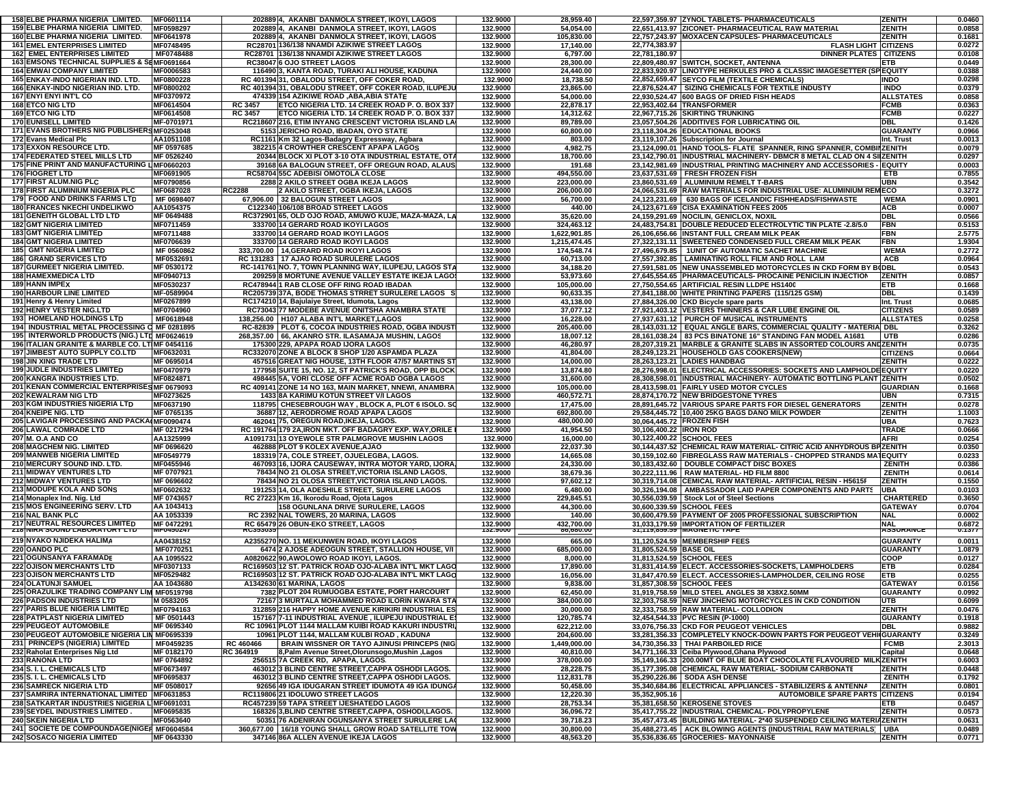| 158 ELBE PHARMA NIGERIA LIMITED.                                                 | MF0601114                |                 | 202889 4, AKANBI DANMOLA STREET, IKOYI, LAGOS                                                                 | 132.9000             | 28,959.40                |                           | 22,597,359.97 ZYNOL TABLETS- PHARMACEUTICALS                                                                                        | <b>ZENITH</b>                  | 0.0460           |
|----------------------------------------------------------------------------------|--------------------------|-----------------|---------------------------------------------------------------------------------------------------------------|----------------------|--------------------------|---------------------------|-------------------------------------------------------------------------------------------------------------------------------------|--------------------------------|------------------|
| 159 ELBE PHARMA NIGERIA LIMITED.                                                 | MF0598297                |                 | 202889 4, AKANBI DANMOLA STREET, IKOYI, LAGOS                                                                 | 132.9000             | 54,054.00                |                           | 22,651,413.97 ZICONET- PHARMACEUTICAL RAW MATERIAL                                                                                  | <b>ZENITH</b>                  | 0.0858           |
| 160 ELBE PHARMA NIGERIA LIMITED.<br><b>161 EMEL ENTERPRISES LIMITED</b>          | MF0641978<br>MF0748495   |                 | 202889 4, AKANBI DANMOLA STREET, IKOYI, LAGOS<br>RC28701 136/138 NNAMDI AZIKIWE STREET LAGOS                  | 132.9000             | 105,830.00               | 22,774,383.97             | 22,757,243.97 MOXACEN CAPSULES- PHARMACEUTICALS<br><b>FLASH LIGHT CITIZENS</b>                                                      | <b>ZENITH</b>                  | 0.1681<br>0.0272 |
| <b>162 EMEL ENTERPRISES LIMITED</b>                                              | MF0748488                |                 | RC28701   136/138 NNAMDI AZIKIWE STREET LAGOS                                                                 | 132.9000<br>132.9000 | 17,140.00<br>6,797.00    | 22,781,180.97             | <b>DINNER PLATES   CITIZENS</b>                                                                                                     |                                | 0.0108           |
| 163 EMSONS TECHNICAL SUPPLIES & SEMF0691664                                      |                          |                 | RC38047 6 OJO STREET LAGOS                                                                                    | 132.9000             | 28,300.00                |                           | 22,809,480.97 SWITCH, SOCKET, ANTENNA                                                                                               | <b>ETB</b>                     | 0.0449           |
| <b>164 EMWAI COMPANY LIMITED</b>                                                 | MF0006583                |                 | 116490 3, KANTA ROAD, TURAKI ALI HOUSE, KADUNA                                                                | 132.9000             | 24,440.00                |                           | 22,833,920.97 LINOTYPE HERKULES PRO & CLASSIC IMAGESETTER (SPEQUITY                                                                 |                                | 0.0388           |
| 165 ENKAY-INDO NIGERIAN IND. LTD.                                                | MF0800228                |                 | RC 401394 31, OBALODU STREET, OFF COKER ROAD,                                                                 | 132.9000             | 18,738.50                |                           | 22,852,659.47 SEYCO FILM (TEXTILE CHEMICALS)                                                                                        | <b>INDO</b>                    | 0.0298           |
| 166 ENKAY-INDO NIGERIAN IND. LTD.                                                | MF0800202                |                 | RC 401394 31, OBALODU STREET, OFF COKER ROAD, ILUPEJU                                                         | 132.9000             | 23,865.00                |                           | 22,876,524.47 SIZING CHEMICALS FOR TEXTILE INDUSTY                                                                                  | <b>INDO</b>                    | 0.0379           |
| <b>167 ENYI ENYI INT'L CO</b>                                                    | MF0370972                |                 | 474339 154 AZIKIWE ROAD ,ABA,ABIA STATE                                                                       | 132.9000             | 54,000.00                |                           | 22,930,524.47 600 BAGS OF DRIED FISH HEADS                                                                                          | <b>ALLSTATES</b>               | 0.0858           |
| 168 ETCO NIG LTD                                                                 | MF0614504                | <b>RC 3457</b>  | ETCO NIGERIA LTD. 14 CREEK ROAD P. O. BOX 337                                                                 | 132.9000             | 22,878.17                |                           | 22,953,402.64 TRANSFORMER                                                                                                           | <b>FCMB</b>                    | 0.0363           |
| 169 ETCO NIG LTD<br><b>170 EUNISELL LIMITED</b>                                  | MF0614508<br>MF-0701971  | <b>RC 3457</b>  | ETCO NIGERIA LTD. 14 CREEK ROAD P. O. BOX 337<br>RC218607 216, ETIM INYANG CRESCENT VICTORIA ISLAND LA        | 132.9000<br>132.9000 | 14,312.62<br>89,789.00   |                           | 22,967,715.26 SKIRTING TRUNKING<br>23,057,504.26 ADDITIVES FOR LUBRICATING OIL                                                      | <b>FCMB</b><br><b>IDBL</b>     | 0.0227<br>0.1426 |
| 171 EVANS BROTHERS NIG PUBLISHERSMF0253048                                       |                          |                 | 5153 JERICHO ROAD, IBADAN, OYO STATE                                                                          | 132.9000             | 60,800.00                |                           | 23,118,304.26 EDUCATIONAL BOOKS                                                                                                     | <b>GUARANTY</b>                | 0.0966           |
| 172 Evans Medical Plc                                                            | AA1051108                |                 | RC1161 Km 32 Lagos-Badagry Expressway, Agbara                                                                 | 132.9000             | 803.00                   |                           | 23,119,107.26 Subscription for Journal                                                                                              | Int. Trust                     | 0.0013           |
| 173 EXXON RESOURCE LTD.                                                          | MF 0597685               |                 | 382215 4 CROWTHER CRESCENT APAPA LAGOS                                                                        | 132.9000             | 4,982.75                 |                           | 23,124,090.01 HAND TOOLS- FLATE SPANNER, RING SPANNER, COMBINZENITH                                                                 |                                | 0.0079           |
| <b>174 FEDERATED STEEL MILLS LTD</b>                                             | MF 0526240               |                 | 20344 BLOCK XI PLOT 3-10 OTA INDUSTRIAL ESTATE, OTA                                                           | 132.9000             | 18,700.00                |                           | 23.142.790.01 INDUSTRIAL MACHINERY- DBMCR 8 METAL CLAD ON 4 SILZENITH                                                               |                                | 0.0297           |
| 175 FINE PRINT AND MANUFACTURING LIMF0660203                                     |                          |                 | 39168 6A BALOGUN STREET, OFF OREGUN ROAD, ALAUS                                                               | 132.9000             | 191.68                   |                           | 23,142,981.69 INDUSTRIAL PRINTING MACHINERY AND ACCESSORIES - EQUITY                                                                |                                | 0.0003           |
| <b>176 FIOGRET LTD</b>                                                           | MF0691905                |                 | RC58704 55C ADEBISI OMOTOLA CLOSE                                                                             | 132.9000             | 494,550.00               |                           | 23,637,531.69 FRESH FROZEN FISH                                                                                                     | ETB                            | 0.7855           |
| <b>177 FIRST ALUM NIG PLC</b><br>178 FIRST ALUMINIUM NIGERIA PLC                 | MF0790856                |                 | 2288 2 AKILO STREET OGBA IKEJA LAGOS                                                                          | 132.9000             | 223,000.00               |                           | 23,860,531.69 ALUMINIUM REMELT T-BARS<br>24,066,531.69 RAW MATERIALS FOR INDUSTRIAL USE: ALUMINIUM REMECO                           | <b>UBN</b>                     | 0.3542           |
| <b>179 FOOD AND DRINKS FARMS LTD</b>                                             | MF0687028<br>MF 0698407  | <b>RC2288</b>   | 2 AKILO STREET, OGBA IKEJA, LAGOS<br>67,906.00 32 BALOGUN STREET LAGOS                                        | 132.9000<br>132.9000 | 206,000.00<br>56,700.00  |                           | 24,123,231.69   630 BAGS OF ICELANDIC FISHHEADS/FISHWASTE                                                                           | <b>WEMA</b>                    | 0.3272<br>0.0901 |
| <b>180 FRANCES NKECHI UNDELIKWO</b>                                              | AA1054375                |                 | C122340 106/108 BROAD STREET LAGOS                                                                            | 132.9000             | 440.00                   |                           | 24,123,671.69 CISA EXAMINATION FEES 2005                                                                                            | <b>ACB</b>                     | 0.0007           |
| 181 GENEITH GLOBAL LTD LTD                                                       | MF 0649488               |                 | RC372901 65, OLD OJO ROAD, AMUWO KUJE, MAZA-MAZA, LA                                                          | 132.9000             | 35,620.00                |                           | 24,159,291.69 NOCILIN, GENICLOX, NOXIL                                                                                              | <b>DBL</b>                     | 0.0566           |
| <b>182 GMT NIGERIA LIMITED</b>                                                   | MF0711459                |                 | 333700 14 GERARD ROAD IKOYI LAGOS                                                                             | 132.9000             | 324,463.12               |                           | 24,483,754.81 DOUBLE REDUCED ELECTROLYTIC TIN PLATE -2.8/5.0                                                                        | <b>FBN</b>                     | 0.5153           |
| <b>183 GMT NIGERIA LIMITED</b>                                                   | MF0711488                |                 | 333700 14 GERARD ROAD IKOYI LAGOS                                                                             | 132.9000             | 1,622,901.85             |                           | 26,106,656.66 INSTANT FULL CREAM MILK PEAK                                                                                          | <b>FBN</b>                     | 2.5775           |
| <b>184 GMT NIGERIA LIMITED</b>                                                   | MF0706639                |                 | 333700 14 GERARD ROAD IKOYI LAGOS                                                                             | 132.9000             | 1,215,474.45             |                           | 27,322,131.11 SWEETENED CONDENSED FULL CREAM MILK PEAK                                                                              | <b>FBN</b>                     | 1.9304           |
| <b>185 GMT NIGERIA LIMITED</b>                                                   | MF 0560862               |                 | 333,700.00   14, GERARD ROAD IKOYI LAGOS                                                                      | 132.9000             | 174,548.74               |                           | 27,496,679.85   1UNIT OF AUTOMATIC SACHET MACHINE                                                                                   | <b>WEMA</b>                    | 0.2772           |
| <b>186 GRAND SERVICES LTD</b>                                                    | MF0532691<br>MF 0530172  |                 | RC 131283 17 AJAO ROAD SURULERE LAGOS                                                                         | 132.9000<br>132.9000 | 60,713.00<br>34,188.20   |                           | 27,557,392.85   LAMINATING ROLL FILM AND ROLL LAM                                                                                   | ACB                            | 0.0964<br>0.0543 |
| <b>187 GURMEET NIGERIA LIMITED.</b><br><b>188 HAMEXMEDICA LTD</b>                | MF0940713                |                 | RC-141761 NO. 7, TOWN PLANNING WAY, ILUPEJU, LAGOS STA<br>209259 8 MORTUNE AVENUE VALLEY ESTATE IKEJA LAGOS   | 132.9000             | 53,973.60                |                           | 27,591,581.05 NEW UNASSEMBLED MOTORCYCLES IN CKD FORM BY B(DBL<br>27,645,554.65 PHARMACEUTICALS- PROCAINE PENICILIN INJECTION       | <b>ZENITH</b>                  | 0.0857           |
| 189 HANN IMPEX                                                                   | MF0530237                |                 | RC478944 1 RAB CLOSE OFF RING ROAD IBADAN                                                                     | 132.9000             | 105,000.00               |                           | 27,750,554.65 ARTIFICIAL RESIN LLDPE HS1400                                                                                         | <b>ETB</b>                     | 0.1668           |
| <b>190 HARBOUR LINE LIMITED</b>                                                  | MF-0589904               |                 | RC205739 37A, BODE THOMAS STRRET SURULERE LAGOS S                                                             | 132.9000             | 90,633.35                |                           | 27,841,188.00 WHITE PRINTING PAPERS (115/125 GSM)                                                                                   | <b>DBL</b>                     | 0.1439           |
| 191 Henry & Henry Limited                                                        | MF0267899                |                 | RC174210 14, Bajulaiye Street, Idumota, Lagos                                                                 | 132.9000             | 43,138.00                |                           | 27,884,326.00 CKD Bicycle spare parts                                                                                               | Int. Trust                     | 0.0685           |
| <b>192 HENRY VESTER NIG.LTD</b>                                                  | MF0704960                |                 | RC73043 77 MODEBE AVENUE ONITSHA ANAMBRA STATE                                                                | 132.9000             | 37,077.12                |                           | 27,921,403.12 VESTERS THINNERS & CAR LUBE ENGINE OIL                                                                                | <b>CITIZENS</b>                | 0.0589           |
| <b>193 HOMELAND HOLDINGS LTD</b>                                                 | MF0618948                |                 | 138,256.00   H107 ALABA INT'L MARKET,LAGOS                                                                    | 132.9000             | 16,228.00                |                           | 27.937.631.12 PURCH OF MUSICAL INSTRUMENTS                                                                                          | <b>ALLSTATES</b>               | 0.0258           |
| 194 INDUSTRIAL METAL PROCESSING C MF 0281895                                     |                          |                 | RC-82839   PLOT 6, COCOA INDUSTRIES ROAD, OGBA INDUST                                                         | 132.9000             | 205,400.00               |                           | 28,143,031.12   EQUAL ANGLE BARS, COMMERCIAL QUALITY - MATERIA DBL                                                                  |                                | 0.3262           |
| 195 INTERWORLD PRODUCTS (NIG.) LTD MF0624619                                     |                          |                 | 268,357.00 66, AKANRO STR. ILASAMAJA MUSHIN, LAGOS<br>175300 229, APAPA ROAD IJORA LAGOS                      | 132.9000<br>132.9000 | 18,007.12<br>46,280.97   |                           | 28,161,038.24   83 PCS BINATONE 16" STANDING FAN MODEL A1681<br>28,207,319.21 MARBLE & GRANITE SLABS IN ASSORTED COLOURS AND ZENITH | <b>UTB</b>                     | 0.0286<br>0.0735 |
| 196 ITALIAN GRANITE & MARBLE CO. LTIMF 0454116<br>197 JIMBEST AUTO SUPPLY CO.LTD | MF0632031                |                 | RC332070 ZONE A BLOCK 8 SHOP 1/20 ASPAMDA PLAZA                                                               | 132.9000             | 41,804.00                |                           | 28,249,123.21 HOUSEHOLD GAS COOKERS(NEW)                                                                                            | <b>CITIZENS</b>                | 0.0664           |
| <b>198 JIN XING TRADE LTD</b>                                                    | MF 0695014               |                 | 457516 GREAT NIG HOUSE, 13TH FLOOR 47/57 MARTINS ST                                                           | 132.9000             | 14,000.00                |                           | 28,263,123.21 LADIES HANDBAG                                                                                                        | <b>ZENITH</b>                  | 0.0222           |
| <b>199 JUDLE INDUSTRIES LIMITED</b>                                              | MF0470979                |                 | 177958 SUITE 15, NO. 12, ST PATRICK'S ROAD, OPP BLOCK                                                         | 132.9000             | 13,874.80                |                           | 28,276,998.01   ELECTRICAL ACCESSORIES: SOCKETS AND LAMPHOLDE EQUITY                                                                |                                | 0.0220           |
| 200 KANGRA INDUSTRIES LTD.                                                       | MF0824871                |                 | 498445 5A, VORI CLOSE OFF ACME ROAD OGBA LAGOS                                                                | 132.9000             | 31,600.00                |                           | 28,308,598.01 INDUSTRIAL MACHINERY- AUTOMATIC BOTTLING PLANT ZENITH                                                                 |                                | 0.0502           |
| 201 KENAN COMMERCIAL ENTERPRISES MF 0679093                                      |                          |                 | RC 409141 ZONE 14 NO 163, MAIN MARKET, NNEWI, ANAMBRA                                                         | 132.9000             | 105,000.00               |                           | 28,413,598.01 FAIRLY USED MOTOR CYCLES                                                                                              | <b>GUARDIAN</b>                | 0.1668           |
| 202 KEWALRAM NIG LTD                                                             | MF0273625                |                 | 1433 8A KARIMU KOTUN STREET V/I LAGOS                                                                         | 132.9000             | 460,572.71               |                           | 28,874,170.72 NEW BRIDGESTONE TYRES                                                                                                 | <b>UBN</b>                     | 0.7315           |
| 203 KGM INDUSTRIES NIGERIA LTD                                                   | MF0637190                |                 | 118795 CHESEBROUGH WAY, BLOCK A, PLOT 6 ISOLO. SO                                                             | 132.9000             | 17,475.00                |                           | 28,891,645.72 VARIOUS SPARE PARTS FOR DIESEL GENERATORS                                                                             | <b>ZENITH</b>                  | 0.0278           |
| 204 KNEIPE NIG. LTD<br>205 LAVIGAR PROCESSING AND PACKA(MF0090474                | MF 0765135               |                 | 36887 12, AERODROME ROAD APAPA LAGOS<br>462041 75, OREGUN ROAD, IKEJA, LAGOS.                                 | 132.9000<br>132.9000 | 692,800.00<br>480,000.00 | 30,064,445.72 FROZEN FISH | 29,584,445.72 10,400 25KG BAGS DANO MILK POWDER                                                                                     | <b>ZENITH</b><br><b>UBA</b>    | 1.1003<br>0.7623 |
| 206 LAWAL COMRADE LTD                                                            | MF 0217294               |                 | RC 191764 179 2A, IRON MKT. OFF BADAGRY EXP. WAY, ORILE                                                       | 132.9000             | 41,954.50                | 30,106,400.22   IRON ROD  |                                                                                                                                     | <b>TRADE</b>                   | 0.0666           |
| 207 M. O.A AND CO                                                                | AA1325999                |                 | A1091731 13 OYEWOLE STR PALMGROVE MUSHIN LAGOS                                                                | 132.9000             | 16,000.00                |                           | 30,122,400.22 SCHOOL FEES                                                                                                           | <b>AFRI</b>                    | 0.0254           |
| 208 MAGCHEM NIG. LIMITED                                                         | MF 0696620               |                 | 462888 PLOT 9 KOLEX AVENUE, AJAO                                                                              | 132.9000             | 22,037.30                |                           | 30,144,437.52 CHEMICAL RAW MATERIAL- CITRIC ACID ANHYDROUS BRZENITH                                                                 |                                | 0.0350           |
| <b>209 MANWEB NIGERIA LIMITED</b>                                                | MF0549779                |                 | 183319 7A, COLE STREET, OJUELEGBA, LAGOS.                                                                     | 132.9000             | 14,665.08                |                           | 30,159,102.60 FIBREGLASS RAW MATERIALS - CHOPPED STRANDS MATEQUITY                                                                  |                                | 0.0233           |
| 210 MERCURY SOUND IND. LTD.                                                      | MF0455946                |                 | 467093 16, IJORA CAUSEWAY, INTRA MOTOR YARD, IJORA                                                            | 132.9000             | 24,330.00                |                           | 30,183,432.60 DOUBLE COMPACT DISC BOXES                                                                                             | <b>ZENITH</b>                  | 0.0386           |
| <b>211 MIDWAY VENTURES LTD</b>                                                   | MF 0707921               |                 | 78434 NO 21 OLOSA STREET, VICTORIA ISLAND LAGOS.                                                              | 132.9000             | 38,679.36                |                           | 30,222,111.96 RAW MATERIAL- HD FILM 8800                                                                                            | <b>ZENITH</b>                  | 0.0614           |
| 212 MIDWAY VENTURES LTD<br>213 MODUPE KOLA AND SONS                              | MF 0696602<br>MF0602632  |                 | 78434 NO 21 OLOSA STREET, VICTORIA ISLAND LAGOS.<br>191253 14, OLA ADESHILE STREET, SURULERE LAGOS            | 132.9000<br>132.9000 | 97,602.12<br>6,480.00    |                           | 30,319,714.08 CEMICAL RAW MATERIAL- ARTIFICIAL RESIN - H5615F<br>30,326,194.08   AMBASSADOR LAID PAPER COMPONENTS AND PARTS         | <b>ZENITH</b><br>UBA           | 0.1550<br>0.0103 |
| 214 Monaplex Ind. Nig. Ltd                                                       | MF 0743657               |                 | RC 27223 Km 16, Ikorodu Road, Ojota Lagos                                                                     | 132.9000             | 229,845.51               |                           | 30,556,039.59 Stock Lot of Steel Sections                                                                                           | <b>CHARTERED</b>               | 0.3650           |
| 215 MOS ENGINEERING SERV. LTD                                                    | AA 1043413               |                 | <b>158 OGUNLANA DRIVE SURULERE, LAGOS</b>                                                                     | 132.9000             | 44,300.00                |                           | 30,600,339.59 SCHOOL FEES                                                                                                           | <b>GATEWAY</b>                 | 0.0704           |
| 216 NAL BANK PLC                                                                 | AA 1053339               |                 | RC 2392 NAL TOWERS, 20 MARINA, LAGOS                                                                          | 132.9000             | 140.00                   |                           | 30,600,479.59 PAYMENT OF 2005 PROFESSIONAL SUBSCRIPTION                                                                             | <b>NAL</b>                     | 0.0002           |
| 217 NEUTRAL RESOURCES LIMITED                                                    | MF 0472291               |                 | RC 65479 26 OBUN-EKO STREET, LAGOS                                                                            | 132.9000             | 432,700.00               |                           | 31.033.179.59 IMPORTATION OF FERTILIZER<br>31,119,859.59 MAGNETIC TAPE                                                              | <b>NAL</b>                     | 0.6872           |
| <b>Z18 NIRA SUUNU LABURATURT LTU</b>                                             | <b>MF0450247</b>         | <b>RU353033</b> |                                                                                                               | 132.9000             | 86,680.00                |                           |                                                                                                                                     | <b>ASSURANCE</b>               | 0.1377           |
| 219 NYAKO NJIDEKA HALIMA                                                         | AA0438152                |                 | A2355270 NO. 11 MEKUNWEN ROAD, IKOYI LAGOS                                                                    | 132.9000             | 665.00                   |                           | 31,120,524.59 MEMBERSHIP FEES                                                                                                       | <b>GUARANTY</b>                | 0.0011           |
| 220 OANDO PLC<br>221 OGUNSANYA FARAMADE                                          | MF0770251                |                 | 6474 2 AJOSE ADEOGUN STREET, STALLION HOUSE, V/I<br>A0820622 90.AWOLOWO ROAD IKOYI, LAGOS                     | 132.9000<br>132.9000 | 685,000.00<br>8,000.00   | 31,805,524.59 BASE OIL    |                                                                                                                                     | <b>GUARANTY</b><br><b>COOP</b> | 1.0879<br>0.0127 |
| <b>222 OJISON MERCHANTS LTD</b>                                                  | AA 1095522<br>MF0307133  |                 | RC169503 12 ST. PATRICK ROAD OJO-ALABA INT'L MKT LAGO                                                         | 132.9000             | 17,890.00                |                           | 31,813,524.59 SCHOOL FEES<br>31.831.414.59 ELECT. ACCESSORIES-SOCKETS. LAMPHOLDERS                                                  | <b>ETB</b>                     | 0.0284           |
| 223 OJISON MERCHANTS LTD                                                         | MF0529482                |                 | RC169503 12 ST. PATRICK ROAD OJO-ALABA INT'L MKT LAGO                                                         | 132.9000             | 16,056.00                |                           | 31.847.470.59 ELECT, ACCESSORIES-LAMPHOLDER, CEILING ROSE                                                                           | <b>ETB</b>                     | 0.0255           |
| <b>224 OLATUNJI SAMUEL</b>                                                       | AA 1043680               |                 | A1342630 61 MARINA, LAGOS                                                                                     | 132.9000             | 9,838.00                 |                           | 31,857,308.59 SCHOOL FEES                                                                                                           | <b>GATEWAY</b>                 | 0.0156           |
| 225 ORAZULIKE TRADING COMPANY LIM MF0519798                                      |                          |                 | 7382 PLOT 204 RUMUOGBA ESTATE, PORT HARCOURT                                                                  | 132.9000             | 62,450.00                |                           | 31,919,758.59 MILD STEEL ANGLES 38 X38X2.50MM                                                                                       | <b>GUARANTY</b>                | 0.0992           |
| <b>226 PADSON INDUSTRIES LTD</b>                                                 | M 0583205                |                 | 72167 3 MURTALA MOHAMMED ROAD ILORIN KWARA STA                                                                | 132.9000             | 384,000.00               |                           | 32,303,758.59 NEW JINCHENG MOTORCYCLES IN CKD CONDITION                                                                             | <b>UTB</b>                     | 0.6099           |
| <b>227 PARIS BLUE NIGERIA LIMITED</b>                                            | MF0794163                |                 | 312859 216 HAPPY HOME AVENUE KIRIKIRI INDUSTRIAL ES                                                           | 132.9000             | 30,000.00                |                           | 32,333,758.59 RAW MATERIAL- COLLODION                                                                                               | <b>ZENITH</b>                  | 0.0476           |
| 228 PATPLAST NIGERIA LIMITED                                                     | MF 0501443<br>MF 0695340 |                 | 157167 7-11 INDUSTRIAL AVENUE, ILUPEJU INDUSTRIAL E!<br>RC 10961 PLOT 1144 MALLAM KUIBI ROAD KAKURI INDUSTRI. | 132.9000<br>132.9000 | 120,785.74<br>622,212.00 |                           | 32,454,544.33 PVC RESIN (P-1000)<br>33,076,756.33 CKD FOR PEUGEOT VEHICLES                                                          | <b>GUARANTY</b><br>DBL         | 0.1918<br>0.9882 |
| 229 PEUGEOT AUTOMOBILE<br>230 PEUGEOT AUTOMOBILE NIGERIA LIN MF0695339           |                          |                 | 10961 PLOT 1144, MALLAM KULBI ROAD, KADUNA                                                                    | 132.9000             | 204,600.00               |                           | 33,281,356.33 COMPLETELY KNOCK-DOWN PARTS FOR PEUGEOT VEHIIGUARANTY                                                                 |                                | 0.3249           |
| 231 PRINCEPS (NIGERIA) LIMITED                                                   | MF0459235                | RC 460466       | BRAIN WISSNER OR TAYO AJINUSI PRINCEPS (NIG                                                                   | 132.9000             | 1,449,000.00             |                           | 34,730,356.33 THAI PARBOILED RICE                                                                                                   | <b>FCMB</b>                    | 2.3013           |
| 232 Raholat Enterprises Nig Ltd                                                  | MF 0182170               | RC 364919       | 8, Palm Avenue Street, Olorunsogo, Mushin, Lagos                                                              | 132.9000             | 40,810.00                |                           | 34,771,166.33 Ceiba Plywood, Ghana Plywood                                                                                          | Capital                        | 0.0648           |
| 233 RANONA LTD                                                                   | MF 0764892               |                 | 256515 7A CREEK RD, APAPA, LAGOS.                                                                             | 132.9000             | 378,000.00               |                           | 35,149,166.33 200.00MT OF BLUE BOAT CHOCOLATE FLAVOURED MILKZENITH                                                                  |                                | 0.6003           |
| 234 S. I. L. CHEMICALS LTD                                                       | MF0673497                |                 | 463012 3 BLIND CENTRE STREET, CAPPA OSHODI LAGOS.                                                             | 132.9000             | 28,228.75                |                           | 35,177,395.08 CHEMICAL RAW MATERIAL-SODIUM CARBONATE                                                                                | <b>ZENITH</b>                  | 0.0448           |
| 235 S. I. L. CHEMICALS LTD                                                       | MF0695837                |                 | 463012 3 BLIND CENTRE STREET.CAPPA OSHODI LAGOS.                                                              | 132.9000             | 112,831.78               |                           | 35.290.226.86 SODA ASH DENSE                                                                                                        | <b>ZENITH</b>                  | 0.1792           |
| <b>236 SAMRECK NIGERIA LTD</b><br>237 SAMRIRA INTERNATIONAL LIMITED MF0631853    | MF 0508017               |                 | 92656 49 IGA IDUGARAN STREET IDUMOTA 49 IGA IDUNGA                                                            | 132.9000             | 50,458.00                | 35.352.905.16             | 35,340,684.86 ELECTRICAL APPLIANCES - STABILIZERS & ANTENNA<br><b>AUTOMOBILE SPARE PARTS CITIZENS</b>                               | <b>ZENITH</b>                  | 0.0801           |
| 238 SATKARTAR INDUSTRIES NIGERIA L'MF0691031                                     |                          |                 | RC119806 21 IDOLUWO STREET LAGOS<br>RC457239 59 TAPA STREET IJESHATEDO LAGOS                                  | 132.9000<br>132.9000 | 12,220.30<br>28,753.34   |                           | 35,381,658.50 KEROSENE STOVES                                                                                                       | <b>ETB</b>                     | 0.0194<br>0.0457 |
| 239 SEYDEL INDUSTRIES LIMITED.                                                   | MF0695835                |                 | 168326 3, BLIND CENTRE STREET, CAPPA, OSHODI, LAGOS.                                                          | 132.9000             | 36,096.72                |                           | 35,417,755.22 INDUSTRIAL CHEMICAL- POLYPROPYLENE                                                                                    | <b>ZENITH</b>                  | 0.0573           |
| 240 SKEIN NIGERIA LTD                                                            | MF0563640                |                 | 50351 76 ADENIRAN OGUNSANYA STREET SURULERE LA                                                                | 132.9000             | 39,718.23                |                           | 35,457,473.45 BUILDING MATERIAL- 2*40 SUSPENDED CEILING MATERIAZENITH                                                               |                                | 0.0631           |
| 241 SOCIETE DE COMPOUNDAGE(NIGER MF0604584                                       |                          |                 | 360,677.00   16/18 YOUNG SHALL GROW ROAD SATELLITE TOW                                                        | 132.9000             | 30,800.00                |                           | 35,488,273.45 ACK BLOWING AGENTS (INDUSTRIAL RAW MATERIALS) UBA                                                                     |                                | 0.0489           |
| <b>242 SOSACO NIGERIA LIMITED</b>                                                | MF 0643330               |                 | 347146 86A ALLEN AVENUE IKEJA LAGOS                                                                           | 132.9000             | 48,563.20                |                           | 35,536,836.65 GROCERIES- MAYONNAISE                                                                                                 | <b>ZENITH</b>                  | 0.0771           |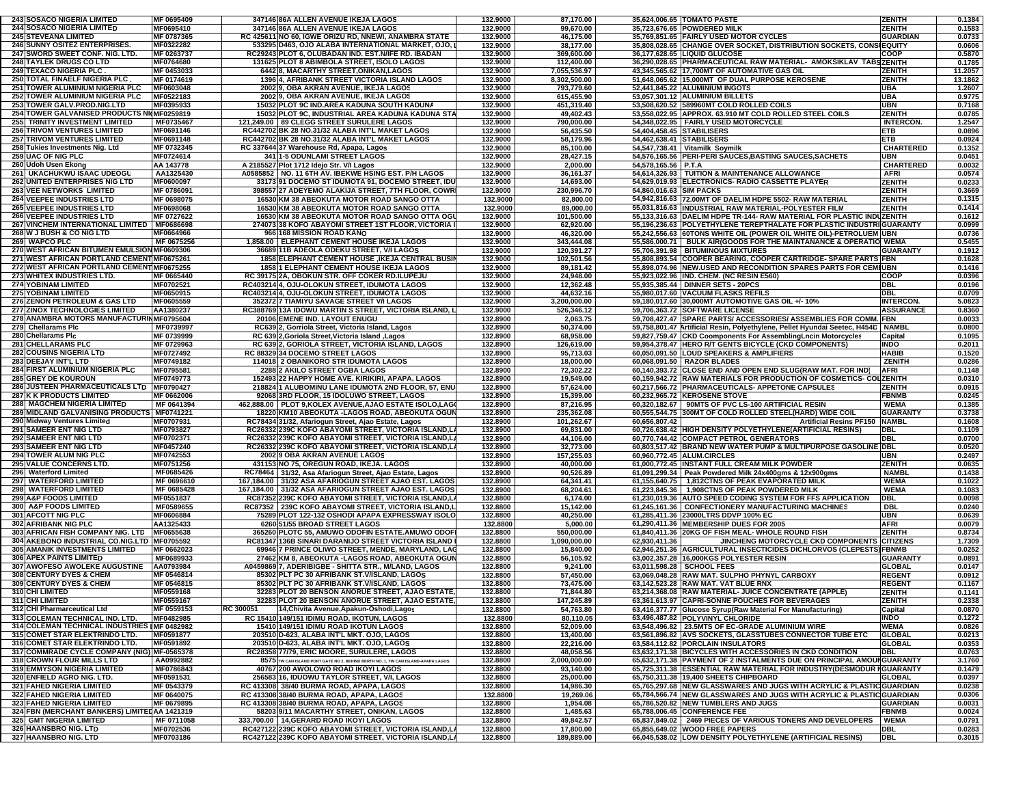| 243 SOSACO NIGERIA LIMITED                     | MF 0695409             | 347146 86A ALLEN AVENUE IKEJA LAGOS                                                                            | 132.9000             | 87,170.00               |                           | 35,624,006.65 TOMATO PASTE                                                                   | <b>ZENITH</b>            | 0.1384           |
|------------------------------------------------|------------------------|----------------------------------------------------------------------------------------------------------------|----------------------|-------------------------|---------------------------|----------------------------------------------------------------------------------------------|--------------------------|------------------|
| <b>244 SOSACO NIGERIA LIMITED</b>              | MF0695410              | 347146 86A ALLEN AVENUE IKEJA LAGOS                                                                            | 132.9000             | 99,670.00               |                           | 35,723,676.65 POWDERED MILK                                                                  | <b>ZENITH</b>            | 0.1583           |
| <b>245 STEVEANA LIMITED</b>                    | MF 0787365             | RC 425611 NO 60, IGWE ORIZU RD, NNEWI, ANAMBRA STATE                                                           | 132.9000             | 46,175.00               |                           | 35,769,851.65 FAIRLY USED MOTOR CYCLES                                                       | <b>GUARDIAN</b>          | 0.0733           |
| 246 SUNNY OSITEZ ENTERPRISES.                  | MF0322282              | 533295 D463, OJO ALABA INTERNATIONAL MARKET, OJO,                                                              | 132.9000             | 38,177.00               |                           | 35,808,028.65 CHANGE OVER SOCKET, DISTRIBUTION SOCKETS, CONSIEQUITY                          |                          | 0.0606           |
| 247 SWORD SWEET CONF. NIG. LTD.                | MF 0263737             | RC29243 PLOT 6, OLUBADAN IND. EST.N/IFE RD. IBADAN                                                             | 132.9000             | 369,600.00              |                           | 36,177,628.65 LIQUID GLUCOSE                                                                 | <b>COOP</b>              | 0.5870           |
| 248 TAYLEK DRUGS CO LTD                        | MF0764680              | 131625 PLOT 8 ABIMBOLA STREET, ISOLO LAGOS                                                                     | 132.9000             | 112.400.00              |                           | 36,290,028.65 PHARMACEUTICAL RAW MATERIAL- AMOKSIKLAV TABSZENITH                             |                          | 0.1785           |
| <b>249 TEXACO NIGERIA PLC</b>                  | MF 0453033             | 6442 8, MACARTHY STREET, ONIKAN, LAGOS                                                                         | 132.9000             | 7,055,536.97            |                           | 43,345,565.62 17,700MT OF AUTOMATIVE GAS OIL                                                 | <b>ZENITH</b>            | 11.2057          |
| 250 TOTAL FINAELF NIGERIA PLC.                 | MF 0174619             | 1396 4, AFRIBANK STREET VICTORIA ISLAND LAGOS                                                                  | 132.9000             | 8,302,500.00            |                           | 51,648,065.62 15,000MT OF DUAL PURPOSE KEROSENE                                              | <b>ZENITH</b>            | 13.1862          |
| 251 TOWER ALUMINIUM NIGERIA PLC                | MF0603048              | 2002 9, OBA AKRAN AVENUE, IKEJA LAGOS                                                                          | 132.9000             | 793,779.60              |                           | 52,441,845.22 ALUMINIUM INGOTS                                                               | <b>UBA</b>               | 1.2607           |
| 252 TOWER ALUMINIUM NIGERIA PLC                | MF0522183              | 2002 9, OBA AKRAN AVENUE, IKEJA LAGOS                                                                          | 132.9000             | 615,455.90              |                           | 53,057,301.12 ALUMINIUM BILLETS                                                              | <b>UBA</b>               | 0.9775           |
| 253 TOWER GALV.PROD.NIG.LTD                    | MF0395933              | 15032 PLOT 9C IND.AREA KADUNA SOUTH KADUNA                                                                     | 132.9000             | 451,319.40              |                           | 53.508.620.52 589960MT COLD ROLLED COILS                                                     | <b>UBN</b>               | 0.7168           |
| 254 TOWER GALVANISED PRODUCTS NI(MF0259819     |                        | 15032 PLOT 9C, INDUSTRIAL AREA KADUNA KADUNA STA                                                               | 132.9000             | 49,402.43               |                           | 53,558,022.95 APPROX. 63.910 MT COLD ROLLED STEEL COILS                                      | <b>ZENITH</b>            | 0.0785           |
| <b>255 TRINITY INVESTMENT LIMITED</b>          | MF0735467              | 121,249.00   89 CLEGG STREET SURULERE LAGOS                                                                    | 132.9000             | 790,000.00              |                           | 54,348,022.95 FAIRLY USED MOTORCYCLE                                                         | <b>INTERCON</b>          | 1.2547           |
| <b>256 TRIVOM VENTURES LIMITED</b>             | MF0691146              | RC442702 BK 28 NO.31/32 ALABA INT'L MAKET LAGOS                                                                | 132.9000             | 56,435.50               | 54,404,458.45 STABILISERS |                                                                                              | <b>ETB</b>               | 0.0896           |
| <b>257 TRIVOM VENTURES LIMITED</b>             | MF0691148              | RC442702 BK 28 NO.31/32 ALABA INT'L MAKET LAGOS                                                                | 132.9000             | 58,179.96               | 54,462,638.41 STABILISERS |                                                                                              | <b>ETB</b>               | 0.0924           |
|                                                | MF 0732345             | RC 337644 37 Warehouse Rd, Apapa, Lagos                                                                        | 132.9000             | 85,100.00               |                           | 54.547.738.41 Vitamilk Sovmilk                                                               | <b>CHARTERED</b>         | 0.1352           |
| 258 Tukies Investments Nig. Ltd                |                        |                                                                                                                |                      |                         |                           |                                                                                              |                          | 0.0451           |
| 259 UAC OF NIG PLC                             | MF0724614              | 341 1-5 ODUNLAMI STREET LAGOS                                                                                  | 132.9000             | 28,427.15               |                           | 54,576,165.56 PERI-PERI SAUCES, BASTING SAUCES, SACHETS                                      | <b>UBN</b>               |                  |
| 260 Udoh Usen Ekong                            | AA 143778              | A 2185527 Plot 1712 Idejo Str. V/I Lagos                                                                       | 132.9000             | 2,000.00                | 54,578,165.56 P.T.A       |                                                                                              | <b>CHARTERED</b>         | 0.0032           |
| 261 UKACHUKWU ISAAC UDEOGU                     | AA1325430              | A0585852 NO. 11 6TH AV. IBEKWE HSING EST. P/H LAGOS                                                            | 132.9000             | 36,161.37               |                           | 54,614,326.93 TUITION & MAINTENANCE ALLOWANCE                                                | <b>AFRI</b>              | 0.0574           |
| 262 UNITED ENTERPRISES NIG LTD                 | MF0600097              | 33173 91 DOCEMO ST IDUMOTA 91, DOCEMO STREET, IDU                                                              | 132.9000             | 14,693.00               |                           | 54,629,019.93 ELECTRONICS- RADIO CASSETTE PLAYER                                             | <b>ZENITH</b>            | 0.0233           |
| <b>263 VEE NETWORKS LIMITED</b>                | MF 0786091             | 398557 27 ADEYEMO ALAKIJA STREET, 7TH FLOOR, COWR                                                              | 132.9000             | 230,996.70              | 54,860,016.63 SIM PACKS   |                                                                                              | <b>ZENITH</b>            | 0.3669           |
| <b>264 VEEPEE INDUSTRIES LTD</b>               | MF 0698075             | 16530 KM 38 ABEOKUTA MOTOR ROAD SANGO OTTA                                                                     | 132.9000             | 82,800.00               |                           | 54,942,816.63 72.00MT OF DAELIM HDPE 5502- RAW MATERIAL                                      | <b>ZENITH</b>            | 0.1315           |
| <b>265 VEEPEE INDUSTRIES LTD</b>               | MF0698068              | 16530 KM 38 ABEOKUTA MOTOR ROAD SANGO OTTA                                                                     | 132.9000             | 89,000.00               |                           | 55,031,816.63 INDUSTRIAL RAW MATERIAL POLYESTER FILM                                         | <b>ZENITH</b>            | 0.1414           |
| 266 VEEPEE INDUSTRIES LTD                      | MF 0727622             | 16530 KM 38 ABEOKUTA MOTOR ROAD SANGO OTTA OG                                                                  | 132.9000             | 101,500.00              |                           | 55,133,316.63 DAELIM HDPE TR-144- RAW MATERIAL FOR PLASTIC INDUZENITH                        |                          | 0.1612           |
| 267 VINCHEM INTERNATIONAL LIMITED   MF0686698  |                        | 274073 38 KOFO ABAYOMI STREET 1ST FLOOR, VICTORIA                                                              | 132.9000             | 62,920.00               |                           | 55,196,236.63 POLYETHYLENE TEREPTHALATE FOR PLASTIC INDUSTRI GUARANTY                        |                          | 0.0999           |
| 268 W J BUSH & CO NIG LTD                      | MF0664966              | 966 168 MISSION ROAD KANO                                                                                      | 132.9000             | 46,320.00               |                           | 55,242,556.63 60TONS WHITE OIL (POWER OIL WHITE OIL)-PETROLUEM UBN                           |                          | 0.0736           |
| 269 WAPCO PLC                                  | MF 0675256             | 1,858.00 ELEPHANT CEMENT HOUSE IKEJA LAGOS                                                                     | 132.9000             | 343,444.08              |                           | 55,586,000.71   BULK AIR(GOODS FOR THE MAINTANANCE & OPERATIO WEMA                           |                          | 0.5455           |
| 270 WEST AFRICAN BITUMEN EMULSION MF0609306    |                        | 36689 11B ADEOLA ODEKU STREET, V/I LAGOS                                                                       | 132.9000             | 120,391.27              |                           | 55,706,391.98   BITUMINOUS MIXTURES                                                          | <b>GUARANTY</b>          | 0.1912           |
| 271 WEST AFRICAN PORTLAND CEMENT MF0675261     |                        | 1858 ELEPHANT CEMENT HOUSE , IKEJA CENTRAL BUSIN                                                               | 132.9000             | 102,501.56              |                           | 55,808,893.54 COOPER BEARING, COOPER CARTRIDGE- SPARE PARTS FBN                              |                          | 0.1628           |
| 272 WEST AFRICAN PORTLAND CEMENT MF0675255     |                        | 1858 1 ELEPHANT CEMENT HOUSE IKEJA LAGOS                                                                       | 132.9000             | 89,181.42               |                           | 55,898,074.96 NEW.USED AND RECONDITION SPARES PARTS FOR CEMIUBN                              |                          | 0.1416           |
| 273 WHITEX INDUSTRIES LTD.                     | MF 0665440             | RC 39175 2A, OBOKUN STR. OFF COKER RD.ILUPEJU                                                                  | 132.9000             | 24.948.00               |                           | 55,923,022.96 IND. CHEM. (NC RESIN E560)                                                     | COOP                     | 0.0396           |
| <b>274 YOBINAM LIMITED</b>                     | MF0702521              | RC403214 4, OJU-OLOKUN STREET, IDUMOTA LAGOS                                                                   | 132.9000             | 12,362.48               |                           | 55,935,385.44 DINNER SETS - 20PCS                                                            | <b>DBL</b>               | 0.0196           |
| <b>275 YOBINAM LIMITED</b>                     | MF0650915              | RC403214 4, OJU-OLOKUN STREET, IDUMOTA LAGOS                                                                   | 132.9000             | 44,632.16               |                           | 55,980,017.60 VACUUM FLASKS REFILS                                                           | <b>DBL</b>               | 0.0709           |
| 276 ZENON PETROLEUM & GAS LTD                  | MF0605559              | 352372 7 TIAMIYU SAVAGE STREET V/I LAGOS                                                                       | 132.9000             | 3,200,000.00            |                           | 59,180,017.60 30,000MT AUTOMOTIVE GAS OIL +/- 10%                                            | <b>INTERCON.</b>         | 5.0823           |
| 277 ZINOX TECHNOLOGIES LIMITED                 | AA1380237              | RC388769 13A IDOWU MARTIN S STREET, VICTORIA ISLAND,                                                           | 132.9000             | 526,346.12              |                           | 59,706,363.72 SOFTWARE LICENSE                                                               | <b>ASSURANCE</b>         | 0.8360           |
| 278 ANAMBRA MOTORS MANUFACTURINMF0795604       |                        | 20106 EMENE IND. LAYOUT ENUGU                                                                                  | 132.8900             | 2,063.75                |                           | 59,708,427.47 SPARE PARTS/ ACCESSORIES/ ASSEMBLIES FOR COMM. FBN                             |                          | 0.0033           |
| 279 Chellarams Plc                             | MF0739997              | RC639 2, Gorriola Street, Victoria Island, Lagos                                                               | 132.8900             | 50,374.00               |                           | 59,758,801.47 Artificial Resin, Polyethylene, Pellet Hyundai Seetec, H454D NAMBL             |                          | 0.0800           |
| 280 Chellarams Plc                             | MF 0739999             | RC 639 2, Goriola Street, Victoria Island, Lagos                                                               | 132.8900             | 68,958.00               |                           | 59,827,759.47 CKD Coomponents For AssemblingLncin Motorcycles                                | Capital                  | 0.1095           |
| 281 CHELLARAMS PLC                             | MF 0729963             | RC 639 2, GORIOLA STREET, VICTORIA ISLAND, LAGOS                                                               | 132.8900             | 126,619.00              |                           | 59,954,378.47 HERO R/T GENTS BICYCLE (CKD COMPONENTS)                                        | <b>INDO</b>              | 0.2011           |
| 282 COUSINS NIGERIA LTD                        | MF0727492              | RC 88329 34 DOCEMO STREET LAGOS                                                                                | 132.8900             | 95,713.03               |                           | 60,050,091.50 LOUD SPEAKERS & AMPLIFIERS                                                     | <b>HABIB</b>             | 0.1520           |
| 283 DEEJAY INT'L LTD                           | MF0749182              | 114018 2 OBANIKORO STR IDUMOTA LAGOS                                                                           | 132.8900             | 18.000.00               |                           | 60,068,091.50 RAZOR BLADES                                                                   | <b>ZENITH</b>            | 0.0286           |
| 284 FIRST ALUMINIUM NIGERIA PLC                | MF0795581              | 2288 2 AKILO STREET OGBA LAGOS                                                                                 | 132.8900             | 72,302.22               |                           | 60,140,393.72 CLOSE END AND OPEN END SLUG(RAW MAT. FOR IND)                                  | <b>AFRI</b>              | 0.1148           |
| <b>285 GREY DE KOUROUN</b>                     | MF0749773              | 152493 22 HAPPY HOME AVE. KIRIKIRI, APAPA, LAGOS                                                               | 132.8900             | 19,549.00               |                           | 60,159,942.72 RAW MATERIALS FOR PRODUCTION OF COSMETICS- COLZENITH                           |                          | 0.0310           |
| 286 JUSTEEN PHARMACEUTICALS LTD MF0790427      |                        | 218824 1 ALUBOMINU LANE IDUMOTA 2ND FLOOR, 57, ENU                                                             | 132.8900             | 57,624.00               |                           | 60.217.566.72 PHARMACEUTICALS-APPETONE CAPSULES                                              | <b>ZENITH</b>            | 0.0915           |
| 287 K K PRODUCTS LIMITED                       | MF 0662006             | 92068 3RD FLOOR, 15 IDOLUWO STREET, LAGOS                                                                      | 132.8900             |                         |                           | 60,232,965.72 KEROSENE STOVE                                                                 | <b>FBNMB</b>             | 0.0245           |
|                                                |                        |                                                                                                                |                      |                         |                           |                                                                                              |                          |                  |
|                                                |                        |                                                                                                                |                      | 15,399.00               |                           |                                                                                              |                          |                  |
| <b>288 MAGCHEM NIGERIA LIMITED</b>             | MF 0641394             | 462,888.00 PLOT 9, KOLEX AVENUE, AJAO ESTATE ISOLO, LAG                                                        | 132.8900             | 87,216.95               |                           | 60,320,182.67   90MTS OF PVC LS-100 ARTIFICIAL RESIN                                         | <b>WEMA</b>              | 0.1385           |
| 289 MIDLAND GALVANISING PRODUCTS MF0741221     |                        | 18220 KM10 ABEOKUTA -LAGOS ROAD, ABEOKUTA OGUN                                                                 | 132.8900             | 235,362.08              |                           | 60,555,544.75 300MT OF COLD ROLLED STEEL(HARD) WIDE COIL                                     | <b>GUARANTY</b>          | 0.3738           |
| 290 Midway Ventures Limited                    | MF0707931              | RC78434 31/32, Afariogun Street, Ajao Estate, Lagos                                                            | 132.8900             | 101,262.67              | 60,656,807.42             | Artificial Resins PF150 NAMBL                                                                |                          | 0.1608           |
| 291 SAMEER ENT NIG LTD                         | MF0793827              | RC26332 239C KOFO ABAYOMI STREET, VICTORIA ISLAND,L                                                            | 132.8900             | 69,831.00               |                           | 60,726,638.42 HIGH DENSITY POLYETHYLENE(ARTIFICIAL RESINS)                                   | <b>DBL</b>               | 0.1109           |
| 292 SAMEER ENT NIG LTD                         | MF0702371              | RC26332 239C KOFO ABAYOMI STREET, VICTORIA ISLAND,L                                                            | 132.8900             | 44,106.00               |                           | 60,770,744.42 COMPACT PETROL GENERATORS                                                      | <b>DBL</b>               | 0.0700           |
| 293 SAMEER ENT NIG LTD                         | MF0457240              | RC26332 239C KOFO ABAYOMI STREET, VICTORIA ISLAND,L                                                            | 132.8900             | 32,773.00               |                           | 60,803,517.42 BRAND NEW WATER PUMP & MULTIPURPOSE GASOLINE DBL                               |                          | 0.0520           |
| 294 TOWER ALUM NIG PLC                         | MF0742553              | 2002 9 OBA AKRAN AVENUE LAGOS                                                                                  | 132.8900             | 157,255.03              |                           | 60,960,772.45 ALUM.CIRCLES                                                                   | <b>UBN</b>               | 0.2497           |
| 295 VALUE CONCERNS LTD.                        | MF0751256              | 431153 NO 75, OREGUN ROAD, IKEJA. LAGOS                                                                        | 132.8900             | 40,000.00               |                           | 61,000,772.45 INSTANT FULL CREAM MILK POWDER                                                 | <b>ZENITH</b>            | 0.0635           |
| 296 Waterford Limited                          | MF0685426              | RC78464 31/32, Asa Afariogun Street, Ajao Estate, Lagos                                                        | 132.8900             | 90,526.89               |                           | 61,091,299.34 Peak Powdered Milk 24x400gms & 12x900gms                                       | <b>NAMBL</b>             | 0.1438           |
| 297 WATERFORD LIMITED                          | MF 0696610             | 167,184.00 31/32 ASA AFARIOGUN STREET AJAO EST. LAGOS                                                          | 132.8900             | 64,341.41               |                           | 61,155,640.75   1,812CTNS OF PEAK EVAPORATED MILK                                            | <b>WEMA</b>              | 0.1022           |
| 298 WATERFORD LIMITED                          | MF 0685428             | 167.184.00 31/32 ASA AFARIOGUN STREET AJAO EST. LAGOS                                                          | 132.8900             | 68,204.61               |                           | 61.223.845.36   1.908CTNS OF PEAK POWDERED MILK                                              | <b>WEMA</b>              | 0.1083           |
| 299 A&P FOODS LIMITED                          | MF0551837              | RC87352 239C KOFO ABAYOMI STREET, VICTORIA ISLAND,L                                                            | 132.8800             | 6,174.00                |                           | 61,230,019.36 AUTO SPEED CODING SYSTEM FOR FFS APPLICATION                                   | <b>DBL</b>               | 0.0098           |
| 300 A&P FOODS LIMITED                          | MF0589655              | RC87352   239C KOFO ABAYOMI STREET, VICTORIA ISLAND,L                                                          | 132.8800             | 15,142.00               |                           | 61,245,161.36 CONFECTIONERY MANUFACTURING MACHINES                                           | DBL                      | 0.0240           |
| 301 AFCOTT NIG PLC                             | MF0606884              | 75289 PLOT 122-132 OSHODI APAPA EXPRESSWAY ISOLO                                                               | 132.8800             | 40,250.00               |                           | 61,285,411.36 23000LTRS DDVP 100% EC                                                         | <b>UBN</b>               | 0.0639           |
| <b>302 AFRIBANK NIG PLC</b>                    | AA1325433              | 6260 51/55 BROAD STREET LAGOS                                                                                  | 132.8800             | 5,000.00                |                           | 61,290,411.36 MEMBERSHIP DUES FOR 2005                                                       | <b>AFRI</b>              | 0.0079           |
| 303 AFRICAN FISH COMPANY NIG. LTD              | MF0655638              | 365260 PLOTC 55, AMUWO ODOFIN ESTATE.AMUWO ODOF                                                                | 132.8800             | 550,000.00              |                           | 61,840,411.36 20KG OF FISH MEAL-WHOLE ROUND FISH                                             | <b>ZENITH</b>            | 0.8734           |
| 304 AKEBONO INDUSTRIAL CO.NIG.LTD MF0705592    |                        | RC81347 136B SINARI DARANIJO STREET VICTORIA ISLAND                                                            | 132.8800             | 1,090,000.00            | 62,930,411.36             | JINCHENG MOTORCYCLE CKD COMPONENTS CITIZENS                                                  |                          | 1.7309           |
| 305 AMANIK INVESTMENTS LIMITED                 | MF 0662023             | 69946 7 PRINCE OLIWO STREET, MENDE, MARYLAND, LAC                                                              | 132.8800             | 15,840.00               |                           | 62,946,251.36 AGRICULTURAL INSECTICIDES DICHLORVOS (CLEPESTS) FBNMB                          |                          | 0.0252           |
| <b>306 APEX PAINTS LIMITED</b>                 | MF0689933              | 27462 KM 8, ABEOKUTA - LAGOS ROAD, ABEOKUTA OGUN                                                               | 132.8800             | 56,105.92               |                           | 63,002,357.28 16,000KGS POLYESTER RESIN                                                      | <b>GUARANTY</b>          | 0.0891           |
| 307 AWOFESO AWOLEKE AUGUSTINE                  | AA0793984              | A0459869 7, ADERIBIGBE - SHITTA STR., M/LAND, LAGOS                                                            | 132.8800             | 9,241.00                |                           | 63,011,598.28 SCHOOL FEES                                                                    | <b>GLOBAL</b>            | 0.0147           |
| 308 CENTURY DYES & CHEM                        | MF 0546814             | 85302 PLT PC 30 AFRIBANK ST.V/ISLAND, LAGOS                                                                    | 132.8800             | 57.450.00               |                           | 63,069,048.28 RAW MAT. SULPHO PHYNYL CARBOXY                                                 | <b>REGENT</b>            | 0.0912           |
| 309 CENTURY DYES & CHEM                        | MF 0546815             | 85302 PLT PC 30 AFRIBANK ST.V/ISLAND, LAGOS                                                                    | 132.8800             | 73,475.00               |                           | 63,142,523.28 RAW MAT. VAT BLUE RNX                                                          | <b>REGENT</b>            | 0.1167           |
| 310 CHI LIMITED                                | MF0559168              | 32283 PLOT 20 BENSON ANORUE STREET. AJAO ESTATE.                                                               | 132.8800             | 71,844.80               |                           | 63.214.368.08 RAW MATERIAL-JUICE CONCENTRATE (APPLE)                                         | <b>ZENITH</b>            | 0.1141           |
| 311 CHI LIMITED                                | MF0559167              | 32283 PLOT 20 BENSON ANORUE STREET, AJAO ESTATE                                                                | 132.8800             | 147,245.89              |                           | 63,361,613.97 CAPRI-SONNE POUCHES FOR BEVERAGES                                              | <b>ZENITH</b>            | 0.2338           |
| 312 CHI Pharmarceutical Ltd                    | MF 0559153             | RC 300051<br>14, Chivita Avenue, Apakun-Oshodi, Lagos                                                          | 132.8800             | 54,763.80               |                           | 63,416,377.77 Glucose Syrup (Raw Material For Manufacturing)                                 | Capital                  | 0.0870           |
| 313 COLEMAN TECHNICAL IND. LTD.                | MF0482985              | RC 15410 149/151 IDIMU ROAD, IKOTUN, LAGOS                                                                     | 132.8800             | 80,110.05               |                           | 63,496,487.82 POLYVINYL CHLORIDE                                                             | <b>INDO</b>              | 0.1272           |
| 314 COLEMAN TECHNICAL INDUSTRIES IMF 0482982   |                        | 15410 149/151 IDIMU ROAD IKOTUN LAGOS                                                                          | 132.8800             | 52,009.00               |                           | 63,548,496.82 23.5MTS OF EC-GRADE ALUMINIUM WIRE                                             | <b>WEMA</b>              | 0.0826           |
| 315 COMET STAR ELEKTRINDO LTD.                 | MF0591877              | 203510 D-623, ALABA INT'L MKT. OJO, LAGOS                                                                      | 132.8800             | 13,400.00               |                           | 63,561,896.82 AVS SOCKETS, GLASSTUBES CONNECTOR TUBE ETC                                     | <b>GLOBAL</b>            | 0.0213           |
| 316 COMET STAR ELEKTRINDO LTD.                 | MF0591892              | 203510 D-623, ALABA INT'L MKT. OJO, LAGOS                                                                      | 132.8800             | 22,216.00               |                           | 63,584,112.82 PORCLAIN INSULATORS                                                            | <b>GLOBAL</b>            | 0.0353           |
| 317 COMMRADE CYCLE COMPANY (NIG) MF-0565378    |                        | RC28358 77/79, ERIC MOORE, SURULERE, LAGOS                                                                     | 132.8800             | 48,058.56               |                           | 63,632,171.38 BICYCLES WITH ACCESSORIES IN CKD CONDITION                                     | <b>DBL</b>               | 0.0763           |
| 318 CROWN FLOUR MILLS LTD                      | AA0992882              | 8575 TIN CAN ISLAND PORT GATE NO 2. BEHIND BERTH NO. 1. TIN CAN ISLAND-APAPA LAGOS                             | 132.8800             | 2,000,000.00            |                           | 65.632.171.38 PAYMENT OF 2 INSTALMENTS DUE ON PRINCIPAL AMOUNGUARANTY                        |                          | 3.1760           |
| 319 EMMYSON NIGERIA LIMITED                    | MF0786843              | 40767 200 AWOLOWO ROAD IKOYI LAGOS                                                                             | 132.8800             | 93,140.00               |                           | 65,725,311.38 ESSENTIAL RAW MATERIAL FOR INDUSTRY(DESMODUR I GUARANTY                        |                          | 0.1479           |
| 320 ENFIELD AGRO NIG. LTD.                     | MF0591531              | 256583 16, IDUOWU TAYLOR STREET, V/I, LAGOS                                                                    | 132.8800             | 25,000.00               |                           | 65,750,311.38 19,400 SHEETS CHIPBOARD                                                        | <b>GLOBAL</b>            | 0.0397           |
| 321 FAHED NIGERIA LIMITED                      | MF 0543379             | RC 413308 38/40 BURMA ROAD, APAPA, LAGOS                                                                       | 132.8800             | 14,986.30               |                           | 65,765,297.68 NEW GLASSWARES AND JUGS WITH ACRYLIC & PLASTIC GUARDIAN                        |                          | 0.0238           |
| <b>322 FAHED NIGERIA LIMITED</b>               | MF 0640075             | RC 413308 38/40 BURMA ROAD, APAPA, LAGOS                                                                       | 132.8800             | 19,269.06               |                           | 65,784,566.74 NEW GLASSWARES AND JUGS WITH ACRYLIC & PLASTIC GUARDIAN                        |                          | 0.0306           |
| 323 FAHED NIGERIA LIMITED                      | MF 0679895             | RC 413308 38/40 BURMA ROAD, APAPA, LAGOS                                                                       | 132.8800             | 1,954.08                |                           | 65,786,520.82 NEW TUMBLERS AND JUGS                                                          | <b>GUARDIAN</b>          | 0.0031           |
| 324 FBN (MERCHANT BANKERS) LIMITEDAA 1421319   |                        | 58203 9/11 MACARTHY STREET, ONIKAN, LAGOS                                                                      | 132.8800             | 1,485.63                |                           | 65,788,006.45 CONFERENCE FEE                                                                 | <b>FBNMB</b>             | 0.0024           |
| 325 GMT NIGERIA LIMITED                        | MF 0711058             | 333,700.00   14, GERARD ROAD IKOYI LAGOS                                                                       | 132.8800             | 49,842.57               |                           | 65.837.849.02 2469 PIECES OF VARIOUS TONERS AND DEVELOPERS                                   | <b>WEMA</b>              | 0.0791           |
| 326 HAANSBRO NIG. LTD<br>327 HAANSBRO NIG. LTD | MF0702536<br>MF0703186 | RC427122 239C KOFO ABAYOMI STREET, VICTORIA ISLAND,L/<br>RC427122 239C KOFO ABAYOMI STREET, VICTORIA ISLAND,LA | 132.8800<br>132.8800 | 17,800.00<br>189,889.00 |                           | 65,855,649.02 WOOD FREE PAPERS<br>66,045,538.02 LOW DENSITY POLYETHYLENE (ARTIFICIAL RESINS) | <b>DBL</b><br><b>DBL</b> | 0.0283<br>0.3015 |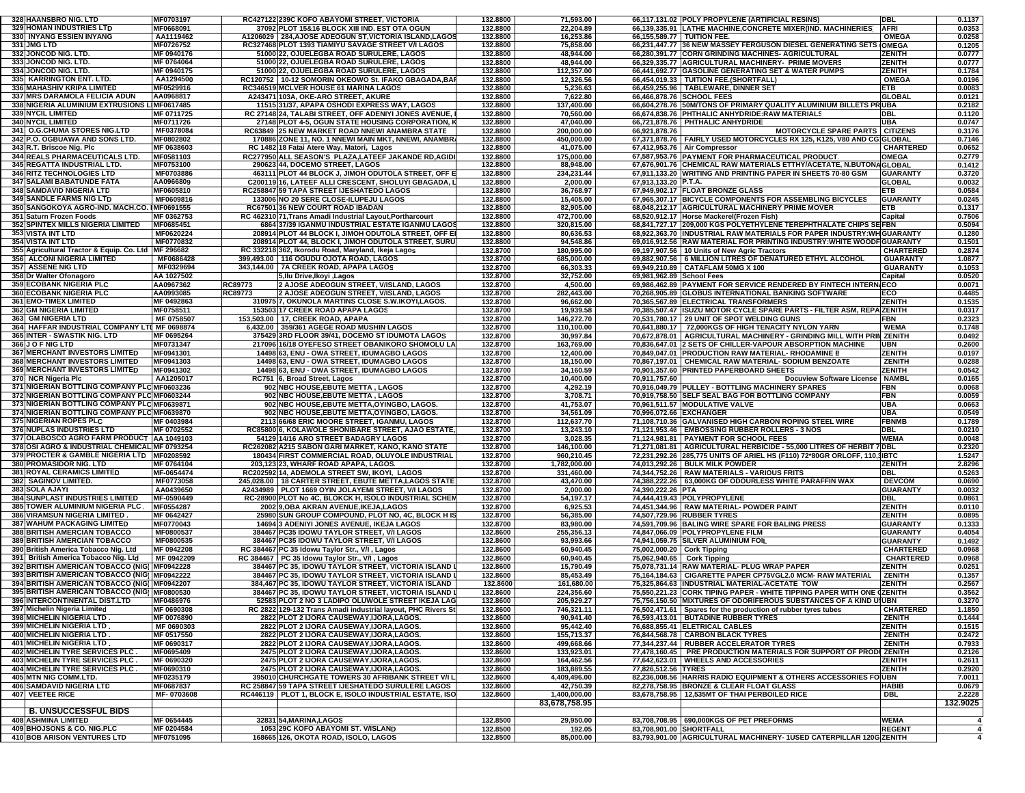| 328 HAANSBRO NIG. LTD                                                                        | MF0703197                |                    | RC427122 239C KOFO ABAYOMI STREET, VICTORIA                                                                | 132.8800             | 71,593.00                  |                              | 66,117,131.02 POLY PROPYLENE (ARTIFICIAL RESINS)                                                                                 | DBL                            | 0.1137           |
|----------------------------------------------------------------------------------------------|--------------------------|--------------------|------------------------------------------------------------------------------------------------------------|----------------------|----------------------------|------------------------------|----------------------------------------------------------------------------------------------------------------------------------|--------------------------------|------------------|
| 329 HOMAN INDUSTRIES LTD<br>330 INYANG ESSIEN INYANG                                         | MF0668091<br>AA1119462   |                    | 37092 PLOT 15&16 BLOCK XIII IND. EST OTA OGUN<br>A1206029 284 AJOSE ADEOGUN ST.VICTORIA ISLAND.LAGOS       | 132.8800<br>132.8800 | 22,204.89<br>16,253.86     | 66,155,589.77   TUITION FEE. | 66,139,335.91 LATHE MACHINE, CONCRETE MIXER (IND. MACHINERIES)                                                                   | <b>AFRI</b><br><b>OMEGA</b>    | 0.0353<br>0.0258 |
| 331 JMG LTD                                                                                  | MF0726752                |                    | RC327468 PLOT 1393 TIAMIYU SAVAGE STREET V/I LAGOS                                                         | 132.8800             | 75,858.00                  |                              | 66,231,447.77 36 NEW MASSEY FERGUSON DIESEL GENERATING SETS                                                                      | <b>OMEGA</b>                   | 0.1205           |
| 332 JONCOD NIG. LTD.                                                                         | MF 0940176               |                    | 51000 22, OJUELEGBA ROAD SURULERE, LAGOS                                                                   | 132.8800             | 48,944.00                  |                              | 66,280,391.77 CORN GRINDING MACHINES- AGRICULTURAL                                                                               | <b>ZENITH</b>                  | 0.0777           |
| 333 JONCOD NIG. LTD.                                                                         | MF 0764064               |                    | 51000 22, OJUELEGBA ROAD SURULERE, LAGOS                                                                   | 132.8800             | 48,944.00                  |                              | 66,329,335.77 AGRICULTURAL MACHINERY- PRIME MOVERS                                                                               | ZENITH                         | 0.0777           |
| 334 JONCOD NIG. LTD.<br>335 KARRINGTON ENT. LTD.                                             | MF 0940175<br>AA1294500  |                    | 51000 22, OJUELEGBA ROAD SURULERE, LAGOS<br>RC120752   10-12 SOMORIN OKEOWO St. IFAKO GBAGADA, BAF         | 132.8800<br>132.8800 | 112,357.00<br>12,326.56    |                              | 66,441,692.77 GASOLINE GENERATING SET & WATER PUMPS<br>66,454,019.33   TUITION FEE.(SHORTFALL)                                   | <b>ZENITH</b><br><b>OMEGA</b>  | 0.1784<br>0.0196 |
| 336 MAHASHIV KRIPA LIMITED                                                                   | MF0529916                |                    | RC346519 MCLVER HOUSE 61 MARINA LAGOS                                                                      | 132.8800             | 5,236.63                   |                              | 66,459,255.96   TABLEWARE, DINNER SET                                                                                            | ETB                            | 0.0083           |
| 337 MRS DARAMOLA FELICIA ADUN                                                                | AA0968817                |                    | A243471 103A, OKE-ARO STREET, AKURE                                                                        | 132.8800             | 7,622.80                   |                              | 66,466,878.76 SCHOOL FEES                                                                                                        | GLOBAL                         | 0.0121           |
| 338 NIGERIA ALUMINIUM EXTRUSIONS LIMF0617485                                                 |                          |                    | 11515 31/37, APAPA OSHODI EXPRESS WAY, LAGOS                                                               | 132.8800             | 137,400.00                 |                              | 66,604,278.76 50M/TONS OF PRIMARY QUALITY ALUMINIUM BILLETS PRUBA                                                                |                                | 0.2182           |
| 339 NYCIL LIMITED<br><b>340 NYCIL LIMITED</b>                                                | MF 0711725<br>MF0711726  |                    | RC 27148 24, TALABI STREET, OFF ADENIYI JONES AVENUE,<br>27148 PLOT 4-5, OGUN STATE HOUSING CORPORATION, I | 132.8800<br>132.8800 | 70,560.00<br>47,040.00     |                              | 66,674,838.76 PHTHALIC ANHYDRIDE:RAW MATERIALS<br>66,721,878.76 PHTHALIC ANHYDRIDE                                               | DBL<br>UBA                     | 0.1120<br>0.0747 |
| 341 O.G.CHUMA STORES NIG.LTD                                                                 | MF0378084                |                    | RC63849 25 NEW MARKET ROAD NNEWI ANAMBRA STATE                                                             | 132.8800             | 200,000.00                 | 66,921,878.76                | <b>MOTORCYCLE SPARE PARTS   CITIZENS</b>                                                                                         |                                | 0.3176           |
| 342 P.O. OGBUAWA AND SONS LTD.                                                               | MF0802802                |                    | 170886 ZONE 11, NO. 1 NNEWI MAIN MKT, NNEWI, ANAMBR.                                                       | 132.8800             | 450,000.00                 |                              | 67,371,878.76 FAIRLY USED MOTORCYCLES RX 125, K125, V80 AND CG GLOBAL                                                            |                                | 0.7146           |
| 343 R.T. Briscoe Nig. Plc                                                                    | MF 0638603               |                    | RC 1482 18 Fatai Atere Way, Matori, Lagos                                                                  | 132.8800             | 41,075.00                  |                              | 67,412,953.76 Air Compressor                                                                                                     | <b>CHARTERED</b>               | 0.0652           |
| <b>344 REALS PHARMACEUTICALS LTD.</b><br>345 REGATTA INDUSTRIAL LTD.                         | MF0581103<br>MF0753100   |                    | RC277950 ALL SEASON'S PLAZA,LATEEF JAKANDE RD,AGIDI<br>290623 44, DOCEMO STREET, LAGOS                     | 132.8800<br>132.8800 | 175,000.00<br>88,948.00    |                              | 67,587,953.76 PAYMENT FOR PHARMACEUTICAL PRODUCT.<br>67,676,901.76 CHEMICAL RAW MATERIALS ETTHY/ACETATE, N.BUTONAGLOBAL          | OMEGA                          | 0.2779<br>0.1412 |
| 346 RITZ TECHNOLOGIES LTD                                                                    | MF0703886                |                    | 463111 PLOT 44 BLOCK J, JIMOH ODUTOLA STREET, OFF E                                                        | 132.8800             | 234,231.44                 |                              | 67,911,133.20 WRITING AND PRINTING PAPER IN SHEETS 70-80 GSM                                                                     | <b>GUARANTY</b>                | 0.3720           |
| <b>347 SALAMI BABATUNDE FATA</b>                                                             | AA0966809                |                    | C200119 16, LATEEF ALLI CRESCENT, SHOLUYI GBAGADA, I                                                       | 132.8800             | 2,000.00                   | 67.913.133.20 P.T.A.         |                                                                                                                                  | <b>GLOBAL</b>                  | 0.0032           |
| 348 SAMDAVID NIGERIA LTD                                                                     | MF0605810                |                    | RC258847 59 TAPA STREET IJESHATEDO LAGOS                                                                   | 132.8800             | 36,768.97                  |                              | 67,949,902.17 FLOAT BRONZE GLASS                                                                                                 | ETB                            | 0.0584           |
| 349 SANDLE FARMS NIG LTD<br>350 SANGOKOYA AGRO-IND. MACH.CO. IMF0691555                      | MF0609816                |                    | 133006 NO 20 SERE CLOSE-ILUPEJU LAGOS<br>RC67501 36 NEW COURT ROAD IBADAN                                  | 132.8800<br>132.8800 | 15,405.00<br>82,905.00     |                              | 67,965,307.17 BICYCLE COMPONENTS FOR ASSEMBLING BICYCLES<br>68,048,212.17 AGRICULTURAL MACHINERY PRIME MOVER                     | <b>GUARANTY</b><br>ETB         | 0.0245<br>0.1317 |
| 351 Saturn Frozen Foods                                                                      | MF 0362753               |                    | RC 462310 71, Trans Amadi Industrial Layout, Portharcourt                                                  | 132.8800             | 472,700.00                 |                              | 68,520,912.17 Horse Mackerel(Frozen Fish)                                                                                        | Capital                        | 0.7506           |
| 352 SPINTEX MILLS NIGERIA LIMITED                                                            | MF0685451                |                    | 6864 37/39 IGANMU INDUSTRIAL ESTATE IGANMU LAGOS                                                           | 132.8800             | 320,815.00                 |                              | 68,841,727.17 209,000 KGS POLYETHYLENE TEREPHTHALATE CHIPS SE FBN                                                                |                                | 0.5094           |
| 353 VISTA INT LTD                                                                            | MF0620224                |                    | 208914 PLOT 44 BLOCK I, JIMOH ODUTOLA STREET, OFF E                                                        | 132.8800             | 80,636.53                  |                              | 68,922,363.70 INDUSTRIAL RAW MATERIALS FOR PAPER INDUSTRY: WHIGUARANTY                                                           |                                | 0.1280           |
| <b>354 VISTA INT LTD</b><br>355 Agricultural Tractor & Equip. Co. Ltd                        | MF0770832<br>MF 296682   |                    | 208914 PLOT 44, BLOCK I, JIMOH ODUTOLA STREET, SURU<br>RC 332218 362, Ikorodu Road, Maryland, Ikeja Lagos  | 132.8800<br>132.8700 | 94,548.86<br>180,995.00    |                              | 69,016,912.56 RAW MATERIAL FOR PRINTING INDUSTRY: WHITE WOODF GUARANTY<br>69,197,907.56   10 Units of New Agric Tractors         | <b>CHARTERED</b>               | 0.1501<br>0.2874 |
| 356 ALCONI NIGERIA LIMITED                                                                   | MF0686428                |                    | 399,493.00   116 OGUDU OJOTA ROAD, LAGOS                                                                   | 132.8700             | 685,000.00                 |                              | 69,882,907.56   6 MILLION LITRES OF DENATURED ETHYL ALCOHOL                                                                      | <b>GUARANTY</b>                | 1.0877           |
| 357 ASSENE NIG LTD                                                                           | MF0329694                |                    | 343,144.00 7A CREEK ROAD, APAPA LAGOS                                                                      | 132.8700             | 66,303.33                  |                              | 69,949,210.89 CATAFLAM 50MG X 100                                                                                                | <b>GUARANTY</b>                | 0.1053           |
| 358 Dr Walter Ofonagoro                                                                      | AA 1027502               |                    | 5, Ilu Drive, Ikoyi, Lagos                                                                                 | 132.8700             | 32,752.00                  | 69,981,962.89 School Fees    |                                                                                                                                  | Capital                        | 0.0520           |
| 359 ECOBANK NIGERIA PLC<br>360 ECOBANK NIGERIA PLC                                           | AA0967362<br>AA0993085   | RC89773<br>RC89773 | 2 AJOSE ADEOGUN STREET, V/ISLAND, LAGOS<br>2 AJOSE ADEOGUN STREET, V/ISLAND, LAGOS                         | 132.8700<br>132.8700 | 4,500.00<br>282,443.00     |                              | 69,986,462.89 PAYMENT FOR SERVICE RENDERED BY FINTECH INTERN/ECO<br>70,268,905.89 GLOBUS INTERNATIONAL BANKING SOFTWARE          | ECO                            | 0.0071<br>0.4485 |
| 361 EMO-TIMEX LIMITED                                                                        | MF 0492863               |                    | 310975 7, OKUNOLA MARTINS CLOSE S.W.IKOYI,LAGOS.                                                           | 132.8700             | 96,662.00                  |                              | 70,365,567.89 ELECTRICAL TRANSFORMERS                                                                                            | <b>ZENITH</b>                  | 0.1535           |
| <b>362 GM NIGERIA LIMITED</b>                                                                | MF0758511                |                    | 153503 17 CREEK ROAD APAPA LAGOS                                                                           | 132.8700             | 19,939.58                  |                              | 70,385,507.47 ISUZU MOTOR CYCLE SPARE PARTS - FILTER ASM, REPA ZENITH                                                            |                                | 0.0317           |
| 363 GM NIGERIA LTD                                                                           | MF 0758507               |                    | 153,503.00   17, CREEK ROAD, APAPA                                                                         | 132.8700             | 146,272.70                 |                              | 70,531,780.17 29 UNIT OF SPOT WELDING GUNS                                                                                       | FBN                            | 0.2323           |
| 364 HAFFAR INDUSTRIAL COMPANY LTI MF 0698874<br>365 INTER - SWASTIK NIG. LTD                 | MF 0695264               |                    | 6,432.00 359/361 AGEGE ROAD MUSHIN LAGOS<br>375429 3RD FLOOR 39/41, DOCEMO ST IDUMOTA LAGOS                | 132.8700<br>132.8700 | 110,100.00<br>30,997.84    |                              | 70,641,880.17   72,000KGS OF HIGH TENACITY NYLON YARN<br>70,672,878.01   AGRICULTURAL MACHINERY - GRINDING MILL WITH PRIN ZENITH | <b>WEMA</b>                    | 0.1748<br>0.0492 |
| 366 J O F NIG LTD                                                                            | MF0731347                |                    | 217096 16/18 OYEFESO STREET OBANIKORO SHOMOLU LA                                                           | 132.8700             | 163,769.00                 |                              | 70,836,647.01 2 SETS OF CHILLER-VAPOUR ABSORPTION MACHINE                                                                        | <b>UBN</b>                     | 0.2600           |
| <b>367 MERCHANT INVESTORS LIMITED</b>                                                        | MF0941301                |                    | 14498 63, ENU - OWA STREET, IDUMAGBO LAGOS                                                                 | 132.8700             | 12,400.00                  |                              | 70,849,047.01 PRODUCTION RAW MATERIAL-RHODAMINE B                                                                                | <b>ZENITH</b>                  | 0.0197           |
| <b>368 MERCHANT INVESTORS LIMITED</b>                                                        | MF0941303                |                    | 14498 63, ENU - OWA STREET, IDUMAGBO LAGOS                                                                 | 132.8700             | 18,150.00                  |                              | 70,867,197.01 CHEMICAL RAW MATERIAL- SODIUM BENZOATE                                                                             | <b>ZENITH</b>                  | 0.0288           |
| 369 MERCHANT INVESTORS LIMITED<br>370 NCR Nigeria Plc                                        | MF0941302<br>AA1205017   |                    | 14498 63, ENU - OWA STREET, IDUMAGBO LAGOS<br>RC751 6, Broad Street, Lagos                                 | 132.8700<br>132.8700 | 34,160.59<br>10,400.00     | 70,911,757.60                | 70,901,357.60 PRINTED PAPERBOARD SHEETS<br>Docuview Software License   NAMBL                                                     | <b>ZENITH</b>                  | 0.0542<br>0.0165 |
| 371 NIGERIAN BOTTLING COMPANY PLC MF0603236                                                  |                          |                    | 902 NBC HOUSE, EBUTE METTA, LAGOS                                                                          | 132.8700             | 4,292.19                   |                              | 70,916,049.79 PULLEY - BOTTLING MACHINERY SPARES                                                                                 | <b>FBN</b>                     | 0.0068           |
| 372 NIGERIAN BOTTLING COMPANY PLC MF0603244                                                  |                          |                    | 902 NBC HOUSE, EBUTE METTA, LAGOS                                                                          | 132.8700             | 3,708.71                   |                              | 70,919,758.50 SELF SEAL BAG FOR BOTTLING COMPANY                                                                                 | FBN                            | 0.0059           |
| 373 NIGERIAN BOTTLING COMPANY PLC MF0639871                                                  |                          |                    | 902 NBC HOUSE, EBUTE METTA, OYINGBO, LAGOS.                                                                | 132.8700             | 41,753.07                  |                              | 70,961,511.57 MODULATIVE VALVE                                                                                                   | UBA                            | 0.0663           |
| 374 NIGERIAN BOTTLING COMPANY PLC MF0639870<br>375 NIGERIAN ROPES PLC                        | MF 0403984               |                    | 902 NBC HOUSE, EBUTE METTA, OYINGBO, LAGOS.<br>2113 66/68 ERIC MOORE STREET, IGANMU, LAGOS                 | 132.8700<br>132.8700 | 34,561.09<br>112,637.70    | 70,996,072.66 EXCHANGER      | 71,108,710.36 GALVANISED HIGH CARBON ROPING STEEL WIRE                                                                           | UBA<br><b>FBNMB</b>            | 0.0549<br>0.1789 |
| 376 NUPLAS INDUSTRIES LTD                                                                    | MF 0702552               |                    | RC85800 6, KOLAWOLE SHONIBARE STREET, AJAO ESTATE                                                          | 132.8700             | 13,243.10                  |                              | 71,121,953.46 EMBOSSING RUBBER ROLLERS - 3 NOS                                                                                   | <b>DBL</b>                     | 0.0210           |
| 377 OLABOSCO AGRO FARM PRODUCT   AA 1049103                                                  |                          |                    | 54129 14/16 ARO STREET BADAGRY LAGOS                                                                       | 132.8700             | 3,028.35                   |                              | 71,124,981.81   PAYMENT FOR SCHOOL FEES                                                                                          | <b>WEMA</b>                    | 0.0048           |
| 378 OSI AGRO & INDUSTRIAL CHEMICAL MF 0793254                                                |                          |                    | RC262082 A215 SABON GARI MARKET, KANO, KANO STATE                                                          | 132.8700             | 146,100.00                 |                              | 71,271,081.81   AGRICULTURAL HERBICIDE - 55,000 LITRES OF HERBIT 7 DBL                                                           |                                | 0.2320           |
| 379 PROCTER & GAMBLE NIGERIA LTD   MF0208592<br>380 PROMASIDOR NIG. LTD                      | MF 0764104               |                    | 180434 FIRST COMMERCIAL ROAD, OLUYOLE INDUSTRIAL<br>203,123 23, WHARF ROAD APAPA, LAGOS.                   | 132.8700<br>132.8700 | 960,210.45<br>1,782,000.00 |                              | 72,231,292.26 285,775 UNITS OF ARIEL HS (F110) 72*80GR ORLOFF, 110, 1BTC<br>74,013,292.26 BULK MILK POWDER                       | <b>ZENITH</b>                  | 1.5247<br>2.8296 |
| 381 ROYAL CERAMICS LIMITED                                                                   | MF-0654474               |                    | RC202592 14, ADEMOLA STREET SW, IKOYI, LAGOS                                                               | 132.8700             | 331,460.00                 |                              | 74,344,752.26   RAW MATERIALS - VARIOUS FRITS                                                                                    | DBL                            | 0.5263           |
| 382 SAGINOV LIMITED.                                                                         | MF0773058                |                    | 245,028.00   18 CARTER STREET, EBUTE METTA,LAGOS STATE                                                     | 132.8700             | 43,470.00                  |                              | 74,388,222.26 63,000KG OF ODOURLESS WHITE PARAFFIN WAX                                                                           | <b>DEVCOM</b>                  | 0.0690           |
| 383 SOLA AJAYI                                                                               | AA0439650                |                    | A2434989   PLOT 1669 OYIN JOLAYEMI STREET, V/I LAGOS                                                       | 132.8700             | 2,000.00                   | 74,390,222.26 PTA            |                                                                                                                                  | <b>GUARANTY</b>                | 0.0032           |
| <b>384 SUNPLAST INDUSTRIES LIMITED</b>                                                       | MF-0590449               |                    | RC-28900 PLOT No 4C, BLOKCK H, ISOLO INDUSTRIAL SCHEN                                                      | 132.8700             | 54,197.17                  |                              | 74,444,419.43 POLYPROPYLENE                                                                                                      | DBL                            | 0.0861           |
| 385 TOWER ALUMINIUM NIGERIA PLC<br><b>386 VIRAMSUN NIGERIA LIMITED</b>                       | MF0554287<br>MF 0642427  |                    | 2002 9, OBA AKRAN AVENUE, IKEJA, LAGOS<br>25980 SUN GROUP COMPOUND, PLOT NO, 4C, BLOCK HIS                 | 132.8700<br>132.8700 | 6,925.53<br>56,385.00      |                              | 74,451,344.96 RAW MATERIAL-POWDER PAINT<br>74.507.729.96 RUBBER TYRES                                                            | ZENITH<br><b>ZENITH</b>        | 0.0110<br>0.0895 |
| <b>387 WAHUM PACKAGING LIMITED</b>                                                           | MF0770043                |                    | 14694 3 ADENIYI JONES AVENUE, IKEJA LAGOS                                                                  | 132.8700             | 83,980.00                  |                              | 74,591,709.96 BALING WIRE SPARE FOR BALING PRESS                                                                                 | <b>GUARANTY</b>                | 0.1333           |
| <b>388 BRITISH AMERCIAN TOBACCO</b>                                                          | MF0800537                |                    | 384467 PC35 IDOWU TAYLOR STREET, V/I LAGOS                                                                 | 132.8600             | 255,356.13                 |                              | 74,847,066.09 POLYPROPYLENE FILM                                                                                                 | GUARANTY                       | 0.4054           |
| <b>389 BRITISH AMERCIAN TOBACCO</b><br>390 British America Tobacco Nig. Ltd                  | MF0800535<br>MF 0942208  |                    | 384467 PC35 IDOWU TAYLOR STREET, V/I LAGOS                                                                 | 132.8600<br>132.8600 | 93,993.66<br>60,940.45     | 75,002,000.20 Cork Tipping   | 74,941,059.75 SILVER ALUMINIUM FOIL                                                                                              | GUARANTY<br><b>CHARTERED</b>   | 0.1492<br>0.0968 |
| 391 British America Tobacco Nig. Ltd                                                         | MF 0942209               |                    | RC 384467 PC 35 Idowu Taylor Str., V/I , Lagos<br>RC 384467   PC 35 Idowu Taylor Str., V/I, Lagos          | 132.8600             | 60,940.45                  |                              | 75,062,940.65 Cork Tipping                                                                                                       | <b>CHARTERED</b>               | 0.0968           |
| 392 BRITISH AMERICAN TOBACCO (NIG) MF0942228                                                 |                          |                    | 384467 PC 35, IDOWU TAYLOR STREET, VICTORIA ISLAND                                                         | 132.8600             | 15,790.49                  |                              | 75,078,731.14 RAW MATERIAL- PLUG WRAP PAPER                                                                                      | <b>ZENITH</b>                  | 0.0251           |
| 393 BRITISH AMERICAN TOBACCO (NIG) MF0942222                                                 |                          |                    | 384467 PC 35, IDOWU TAYLOR STREET, VICTORIA ISLAND                                                         | 132.8600             | 85,453.49                  |                              | 75,164,184.63 CIGARETTE PAPER CP75VGL2.0 MCM-RAW MATERIAL                                                                        | <b>ZENITH</b>                  | 0.1357           |
| 394 BRITISH AMERICAN TOBACCO (NIG) MF0942207<br>395 BRITISH AMERICAN TOBACCO (NIG) MF0800530 |                          |                    | 384,467 PC 35, IDOWU TAYLOR STREET, VICTORIA ISLAND                                                        | 132.8600             | 161,680.00                 |                              | 75,325,864.63 INDUSTRIAL MATERIAL-ACETATE TOW<br>75,550,221.23 CORK TIPING PAPER - WHITE TIPPING PAPER WITH ONE (ZENITH          | ZENITH                         | 0.2567           |
| 396 INTERCONTINENTAL DIST.LTD                                                                | MF0486976                |                    | 384467 PC 35, IDOWU TAYLOR STREET, VICTORIA ISLAND<br>52583 PLOT 2 NO 3 LADIPO OLUWOLE STREET IKEJA LAG    | 132.8600<br>132.8600 | 224,356.60<br>205,929.27   |                              | 75,756,150.50 MIXTURES OF ODORIFEROUS SUBSTANCES OF A KIND UNUBN                                                                 |                                | 0.3562<br>0.3270 |
| 397 Michelin Nigeria Limited                                                                 | MF 0690308               |                    | RC 2822 129-132 Trans Amadi industrial layout, PHC Rivers St                                               | 132.8600             | 746,321.11                 |                              | 76,502,471.61 Spares for the production of rubber tyres tubes                                                                    | <b>CHARTERED</b>               | 1.1850           |
| 398 MICHELIN NIGERIA LTD                                                                     | MF 0076890               |                    | 2822 PLOT 2 IJORA CAUSEWAY, IJORA, LAGOS.                                                                  | 132.8600             | 90,941.40                  |                              | 76,593,413.01 BUTADINE RUBBER TYRES                                                                                              | <b>ZENITH</b>                  | 0.1444           |
| 399 MICHELIN NIGERIA LTD.                                                                    | MF 0690303               |                    | 2822 PLOT 2 IJORA CAUSEWAY, IJORA, LAGOS.                                                                  | 132.8600             | 95,442.40                  |                              | 76,688,855.41 ELETRICAL CABLES                                                                                                   | <b>ZENITH</b>                  | 0.1515           |
| 400 MICHELIN NIGERIA LTD<br>401 MICHELIN NIGERIA LTD.                                        | MF 0517550<br>MF 0690317 |                    | 2822 PLOT 2 IJORA CAUSEWAY, IJORA, LAGOS.<br>2822 PLOT 2 IJORA CAUSEWAY, IJORA, LAGOS.                     | 132.8600<br>132.8600 | 155,713.37<br>499,668.66   |                              | 76,844,568.78 CARBON BLACK TYRES<br>77,344,237.44 RUBBER ACCELERATOR TYRES                                                       | <b>ZENITH</b><br><b>ZENITH</b> | 0.2472<br>0.7933 |
| 402 MICHELIN TYRE SERVICES PLC.                                                              | MF0695409                |                    | 2475 PLOT 2 IJORA CAUSEWAY, IJORA, LAGOS.                                                                  | 132.8600             | 133,923.01                 |                              | 77,478,160.45   PRE PRODUCTION MATERIALS FOR SUPPORT OF PRODUZENITH                                                              |                                | 0.2126           |
| 403 MICHELIN TYRE SERVICES PLC.                                                              | MF 0690320               |                    | 2475 PLOT 2 IJORA CAUSEWAY, IJORA, LAGOS.                                                                  | 132.8600             | 164,462.56                 |                              | 77,642,623.01 WHEELS AND ACCESSORIES                                                                                             | ZENITH                         | 0.2611           |
| 404 MICHELIN TYRE SERVICES PLC.                                                              | MF0690310                |                    | 2475 PLOT 2 IJORA CAUSEWAY, IJORA, LAGOS.                                                                  | 132.8600             | 183,889.55                 | 77,826,512.56 TYRES          |                                                                                                                                  | ZENITH                         | 0.2920           |
| 405 MTN NIG COMM.LTD.<br>406 SAMDAVID NIGERIA LTD                                            | MF0235179<br>MF0687837   |                    | 395010 CHURCHGATE TOWERS 30 AFRIBANK STREET V/I L<br>RC 258847 59 TAPA STREET IJESHATEDO SURULERE LAGOS    | 132.8600<br>132.8600 | 4,409,496.00<br>42,750.39  |                              | 82,236,008.56 HARRIS RADIO EQUIPMENT & OTHERS ACCESSORIES FO UBN<br>82,278,758.95 BRONZE & CLEAR FLOAT GLASS                     | <b>HABIB</b>                   | 7.0011<br>0.0679 |
| 407 VEETEE RICE                                                                              | MF-0703608               |                    | RC446119   PLOT 1, BLOCK E, ISOLO INDUSTRIAL ESTATE, ISO                                                   | 132.8600             | 1.400.000.00               |                              | 83,678,758.95   12,535MT OF THAI PERBOILED RICE                                                                                  | <b>DBL</b>                     | 2.2228           |
|                                                                                              |                          |                    |                                                                                                            |                      | 83,678,758.95              |                              |                                                                                                                                  |                                | 132.9025         |
| <b>B. UNSUCCESSFUL BIDS</b>                                                                  |                          |                    |                                                                                                            |                      |                            |                              | 83,708,708.95 690,000KGS OF PET PREFORMS                                                                                         |                                |                  |
| <b>408 ASHMINA LIMITED</b><br>409 BHOJSONS & CO. NIG.PLC                                     | MF 0654445<br>MF 0204584 |                    | 32831 54, MARINA, LAGOS<br>1053 29C KOFO ABAYOMI ST. V/ISLAND                                              | 132.8500<br>132.8500 | 29,950.00<br>192.05        | 83,708,901.00 SHORTFALL      |                                                                                                                                  | <b>WEMA</b><br><b>REGENT</b>   | $\overline{4}$   |
| <b>410 BOB ARISON VENTURES LTD</b>                                                           | MF0751095                |                    | 168665 126, OKOTA ROAD, ISOLO, LAGOS                                                                       | 132.8500             | 85,000.00                  |                              | 83,793,901.00 AGRICULTURAL MACHINERY- 1USED CATERPILLAR 120G ZENITH                                                              |                                | $\overline{4}$   |